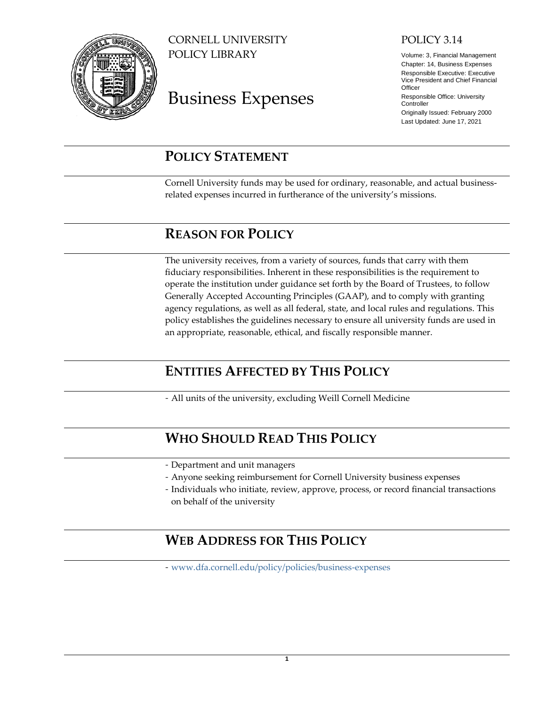

CORNELL UNIVERSITY POLICY LIBRARY

# Business Expenses

## POLICY 3.14

Volume: 3, Financial Management Chapter: 14, Business Expenses Responsible Executive: Executive Vice President and Chief Financial **Officer** Responsible Office: University **Controller** Originally Issued: February 2000 Last Updated: June 17, 2021

# <span id="page-0-0"></span>**POLICY STATEMENT**

<span id="page-0-5"></span>Cornell University funds may be used for ordinary, reasonable, and actual businessrelated expenses incurred in furtherance of the university's missions.

# <span id="page-0-6"></span><span id="page-0-1"></span>**REASON FOR POLICY**

The university receives, from a variety of sources, funds that carry with them fiduciary responsibilities. Inherent in these responsibilities is the requirement to operate the institution under guidance set forth by the Board of Trustees, to follow Generally Accepted Accounting Principles (GAAP), and to comply with granting agency regulations, as well as all federal, state, and local rules and regulations. This policy establishes the guidelines necessary to ensure all university funds are used in an appropriate, reasonable, ethical, and fiscally responsible manner.

# <span id="page-0-2"></span>**ENTITIES AFFECTED BY THIS POLICY**

<span id="page-0-7"></span>- All units of the university, excluding Weill Cornell Medicine

# <span id="page-0-3"></span>**WHO SHOULD READ THIS POLICY**

- <span id="page-0-8"></span>- Department and unit managers
- Anyone seeking reimbursement for Cornell University business expenses
- Individuals who initiate, review, approve, process, or record financial transactions on behalf of the university

# <span id="page-0-9"></span><span id="page-0-4"></span>**WEB ADDRESS FOR THIS POLICY**

- [www.dfa.cornell.edu/policy/policies/business-expenses](http://www.dfa.cornell.edu/policy/policies/business-expenses)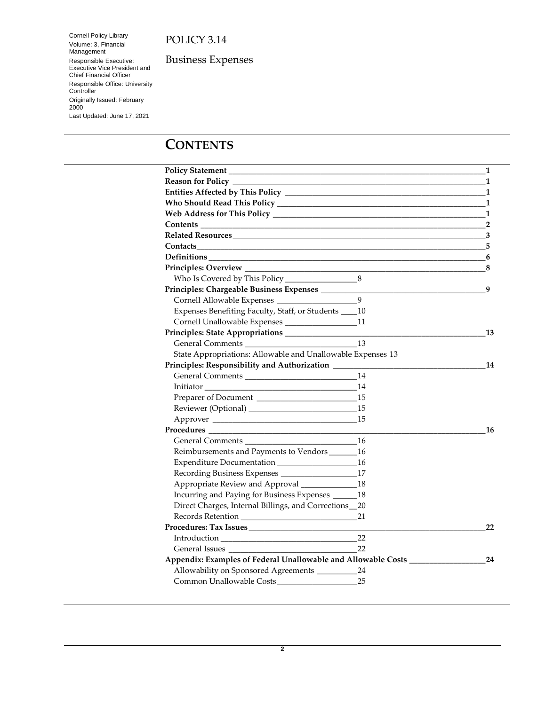Cornell Policy Library Volume: 3, Financial Management Responsible Executive: Executive Vice President and Chief Financial Officer Responsible Office: University **Controller** Originally Issued: February 2000 Last Updated: June 17, 2021

Business Expenses

# <span id="page-1-1"></span><span id="page-1-0"></span>**CONTENTS**

|                                                                                                                                                                                                                                                                                                                                                                                                                                                                                                                             |     | 1              |
|-----------------------------------------------------------------------------------------------------------------------------------------------------------------------------------------------------------------------------------------------------------------------------------------------------------------------------------------------------------------------------------------------------------------------------------------------------------------------------------------------------------------------------|-----|----------------|
| Reason for Policy _________                                                                                                                                                                                                                                                                                                                                                                                                                                                                                                 |     | 1              |
|                                                                                                                                                                                                                                                                                                                                                                                                                                                                                                                             |     | 1              |
|                                                                                                                                                                                                                                                                                                                                                                                                                                                                                                                             |     | 1              |
|                                                                                                                                                                                                                                                                                                                                                                                                                                                                                                                             |     | 1              |
|                                                                                                                                                                                                                                                                                                                                                                                                                                                                                                                             |     | $\overline{2}$ |
|                                                                                                                                                                                                                                                                                                                                                                                                                                                                                                                             |     | 3              |
| Contacts                                                                                                                                                                                                                                                                                                                                                                                                                                                                                                                    |     | 5              |
|                                                                                                                                                                                                                                                                                                                                                                                                                                                                                                                             |     | 6              |
|                                                                                                                                                                                                                                                                                                                                                                                                                                                                                                                             |     | 8              |
|                                                                                                                                                                                                                                                                                                                                                                                                                                                                                                                             |     |                |
| Principles: Chargeable Business Expenses _________                                                                                                                                                                                                                                                                                                                                                                                                                                                                          |     | 9              |
|                                                                                                                                                                                                                                                                                                                                                                                                                                                                                                                             | 9   |                |
| Expenses Benefiting Faculty, Staff, or Students ____ 10                                                                                                                                                                                                                                                                                                                                                                                                                                                                     |     |                |
|                                                                                                                                                                                                                                                                                                                                                                                                                                                                                                                             | 11  |                |
|                                                                                                                                                                                                                                                                                                                                                                                                                                                                                                                             |     | 13             |
|                                                                                                                                                                                                                                                                                                                                                                                                                                                                                                                             | 13  |                |
| State Appropriations: Allowable and Unallowable Expenses 13                                                                                                                                                                                                                                                                                                                                                                                                                                                                 |     |                |
| Principles: Responsibility and Authorization ______                                                                                                                                                                                                                                                                                                                                                                                                                                                                         |     | 14             |
|                                                                                                                                                                                                                                                                                                                                                                                                                                                                                                                             | 14  |                |
|                                                                                                                                                                                                                                                                                                                                                                                                                                                                                                                             | 14  |                |
| Preparer of Document                                                                                                                                                                                                                                                                                                                                                                                                                                                                                                        | 15  |                |
|                                                                                                                                                                                                                                                                                                                                                                                                                                                                                                                             | 15  |                |
|                                                                                                                                                                                                                                                                                                                                                                                                                                                                                                                             | 15  |                |
| $\begin{minipage}[c]{0.9\linewidth} \textbf{Proceedures} \end{minipage} \begin{minipage}[c]{0.9\linewidth} \textbf{Proceedures} \end{minipage} \vspace{-0.00\linewidth} \vspace{-0.00\linewidth} \vspace{-0.00\linewidth} \vspace{-0.00\linewidth} \vspace{-0.00\linewidth} \vspace{-0.00\linewidth} \vspace{-0.00\linewidth} \vspace{-0.00\linewidth} \vspace{-0.00\linewidth} \vspace{-0.00\linewidth} \vspace{-0.00\linewidth} \vspace{-0.00\linewidth} \vspace{-0.00\linewidth} \vspace{-0.00\linewidth} \vspace{-0.00$ |     | 16             |
| General Comments                                                                                                                                                                                                                                                                                                                                                                                                                                                                                                            | -16 |                |
| Reimbursements and Payments to Vendors _______ 16                                                                                                                                                                                                                                                                                                                                                                                                                                                                           |     |                |
|                                                                                                                                                                                                                                                                                                                                                                                                                                                                                                                             | -16 |                |
|                                                                                                                                                                                                                                                                                                                                                                                                                                                                                                                             | 17  |                |
| Appropriate Review and Approval ____________                                                                                                                                                                                                                                                                                                                                                                                                                                                                                | -18 |                |
| Incurring and Paying for Business Expenses ______ 18                                                                                                                                                                                                                                                                                                                                                                                                                                                                        |     |                |
| Direct Charges, Internal Billings, and Corrections_20                                                                                                                                                                                                                                                                                                                                                                                                                                                                       |     |                |
|                                                                                                                                                                                                                                                                                                                                                                                                                                                                                                                             | 21  |                |
|                                                                                                                                                                                                                                                                                                                                                                                                                                                                                                                             |     | 22             |
|                                                                                                                                                                                                                                                                                                                                                                                                                                                                                                                             | 22  |                |
| General Issues                                                                                                                                                                                                                                                                                                                                                                                                                                                                                                              | 22  |                |
| Appendix: Examples of Federal Unallowable and Allowable Costs ________                                                                                                                                                                                                                                                                                                                                                                                                                                                      |     | 24             |
| Allowability on Sponsored Agreements _________                                                                                                                                                                                                                                                                                                                                                                                                                                                                              | 24  |                |
|                                                                                                                                                                                                                                                                                                                                                                                                                                                                                                                             | 25  |                |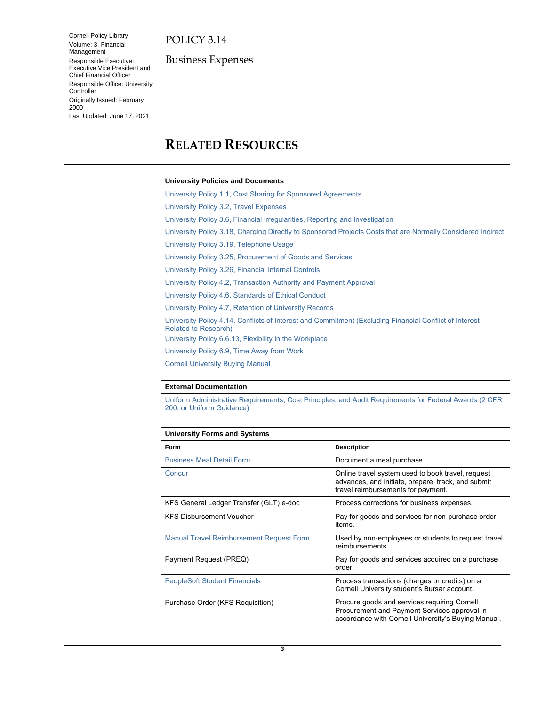Cornell Policy Library Volume: 3, Financial Management Responsible Executive: Executive Vice President and Chief Financial Officer Responsible Office: University Controller Originally Issued: February 2000 Last Updated: June 17, 2021

Business Expenses

# <span id="page-2-1"></span><span id="page-2-0"></span>**R[ELAT](#page-23-3)ED R[ESOURCES](#page-24-1)**

#### **University Policies and Documents**

[University Policy 1.1, Cost Sharing for Sponsored Agreements](https://www.dfa.cornell.edu/policy/policies/cost-sharing-sponsored-agreements) [University Policy 3.2, Travel](https://www.dfa.cornell.edu/policy/policies/travel-expenses) Expenses [University Policy 3.6, Financial Irregularities, Reporting and Investigation](https://www.dfa.cornell.edu/policy/policies/financial-irregularities-reporting-and-investigation) [University Policy 3.18, Charging Directly to Sponsored Projects Costs that are Normally Considered Indirect](https://www.dfa.cornell.edu/policy/policies/charging-directly-sponsored-projects-costs-are-normally-considered-indirect) [University Policy 3.19, Telephone Usage](https://www.dfa.cornell.edu/policy/policies/telephone-usage) [University Policy 3.25, Procurement of Goods and Services](https://www.dfa.cornell.edu/policy/policies/procurement-goods-and-services) [University Policy 3.26, Financial Internal Controls](https://www.dfa.cornell.edu/policy/policies/financial-internal-controls) [University Policy 4.2, Transaction](https://www.dfa.cornell.edu/policy/policies/transaction-authority-and-payment-approval) Authority and Payment Approval [University Policy 4.6, Standards of Ethical Conduct](https://www.dfa.cornell.edu/policy/policies/standards-ethical-conduct) [University Policy 4.7, Retention of University Records](https://www.dfa.cornell.edu/policy/policies/retention-university-records) [University Policy 4.14, Conflicts of Interest and Commitment \(Excluding Financial Conflict of Interest](https://www.dfa.cornell.edu/policy/policies/conflicts-interest-and-commitment-excluding-financial-conflict-interest-related)  [Related to Research\)](https://www.dfa.cornell.edu/policy/policies/conflicts-interest-and-commitment-excluding-financial-conflict-interest-related) [University Policy 6.6.13, Flexibility in](https://www.dfa.cornell.edu/policy/policies/flexibility-workplace) the Workplace [University Policy 6.9, Time Away from Work](https://www.dfa.cornell.edu/policy/policies/time-away-work)

[Cornell University Buying Manual](https://www.dfa.cornell.edu/procurement/buyers/manual)

#### **External Documentation**

[Uniform Administrative Requirements, Cost Principles, and Audit Requirements for Federal Awards \(2 CFR](http://www.ecfr.gov/cgi-bin/text-idx?tpl=/ecfrbrowse/Title02/2cfr200_main_02.tpl)  200, [or Uniform Guidance\)](http://www.ecfr.gov/cgi-bin/text-idx?tpl=/ecfrbrowse/Title02/2cfr200_main_02.tpl)

| <b>University Forms and Systems</b>             |                                                                                                                                                     |
|-------------------------------------------------|-----------------------------------------------------------------------------------------------------------------------------------------------------|
| Form                                            | <b>Description</b>                                                                                                                                  |
| <b>Business Meal Detail Form</b>                | Document a meal purchase.                                                                                                                           |
| Concur                                          | Online travel system used to book travel, request<br>advances, and initiate, prepare, track, and submit<br>travel reimbursements for payment.       |
| KFS General Ledger Transfer (GLT) e-doc         | Process corrections for business expenses.                                                                                                          |
| <b>KFS Disbursement Voucher</b>                 | Pay for goods and services for non-purchase order<br>items.                                                                                         |
| <b>Manual Travel Reimbursement Request Form</b> | Used by non-employees or students to request travel<br>reimbursements.                                                                              |
| Payment Request (PREQ)                          | Pay for goods and services acquired on a purchase<br>order.                                                                                         |
| <b>PeopleSoft Student Financials</b>            | Process transactions (charges or credits) on a<br>Cornell University student's Bursar account.                                                      |
| Purchase Order (KFS Requisition)                | Procure goods and services requiring Cornell<br>Procurement and Payment Services approval in<br>accordance with Cornell University's Buying Manual. |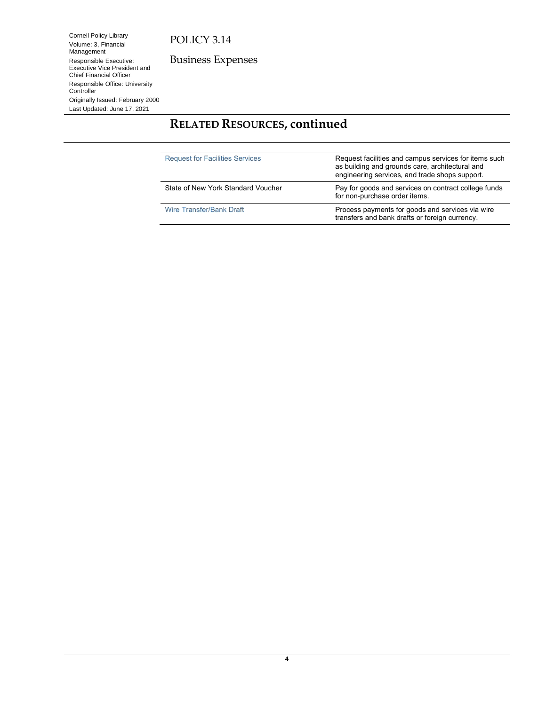Volume: 3, Financial Management Responsible Executive: Executive Vice President and Chief Financial Officer Responsible Office: University **Controller** 

Cornell Policy Library

Originally Issued: February 2000 Last Updated: June 17, 2021

Business Expenses

# **RELATED RESOURCES, continued**

| <b>Request for Facilities Services</b> | Request facilities and campus services for items such<br>as building and grounds care, architectural and<br>engineering services, and trade shops support. |  |
|----------------------------------------|------------------------------------------------------------------------------------------------------------------------------------------------------------|--|
| State of New York Standard Voucher     | Pay for goods and services on contract college funds<br>for non-purchase order items.                                                                      |  |
| Wire Transfer/Bank Draft               | Process payments for goods and services via wire<br>transfers and bank drafts or foreign currency.                                                         |  |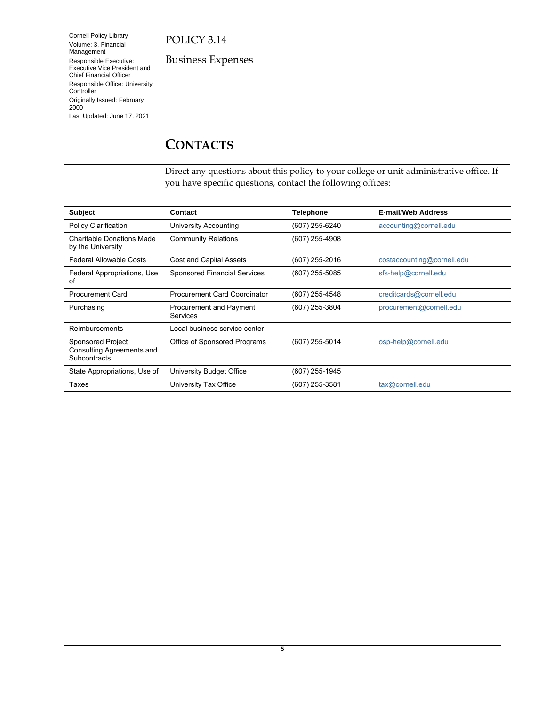Cornell Policy Library Volume: 3, Financial Management Responsible Executive: Executive Vice President and Chief Financial Officer Responsible Office: University Controller Originally Issued: February 2000 Last Updated: June 17, 2021

Business Expenses

# <span id="page-4-1"></span><span id="page-4-0"></span>**CONTACTS**

Direct any questions about this policy to your college or unit administrative office. If you have specific questions, contact the following offices:

| <b>Subject</b>                                                               | Contact                             | <b>Telephone</b> | <b>E-mail/Web Address</b>  |
|------------------------------------------------------------------------------|-------------------------------------|------------------|----------------------------|
| <b>Policy Clarification</b>                                                  | University Accounting               | (607) 255-6240   | accounting@cornell.edu     |
| Charitable Donations Made<br>by the University                               | <b>Community Relations</b>          | (607) 255-4908   |                            |
| <b>Federal Allowable Costs</b>                                               | Cost and Capital Assets             | (607) 255-2016   | costaccounting@cornell.edu |
| Federal Appropriations, Use<br>of                                            | <b>Sponsored Financial Services</b> | (607) 255-5085   | sfs-help@cornell.edu       |
| <b>Procurement Card</b>                                                      | <b>Procurement Card Coordinator</b> | (607) 255-4548   | creditcards@cornell.edu    |
| Purchasing                                                                   | Procurement and Payment<br>Services | (607) 255-3804   | procurement@cornell.edu    |
| Reimbursements                                                               | Local business service center       |                  |                            |
| <b>Sponsored Project</b><br>Consulting Agreements and<br><b>Subcontracts</b> | Office of Sponsored Programs        | (607) 255-5014   | osp-help@cornell.edu       |
| State Appropriations, Use of                                                 | University Budget Office            | (607) 255-1945   |                            |
| Taxes                                                                        | University Tax Office               | (607) 255-3581   | tax@cornell.edu            |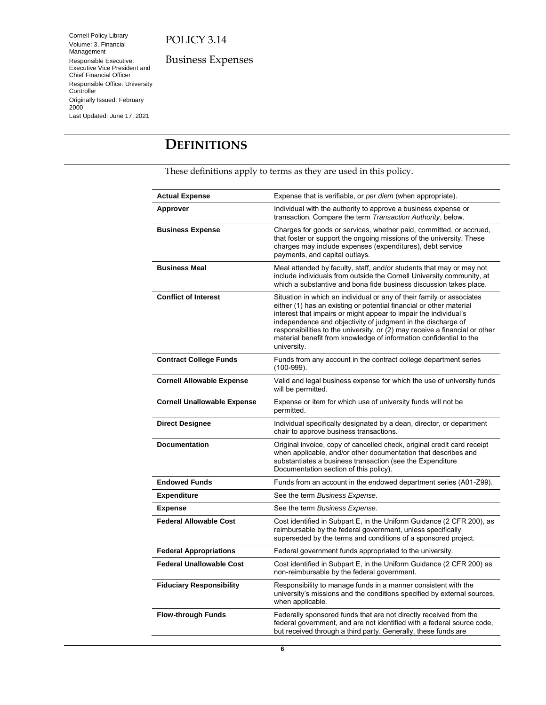Cornell Policy Library Volume: 3, Financial Management Responsible Executive: Executive Vice President and Chief Financial Officer Responsible Office: University **Controller** Originally Issued: February 2000 Last Updated: June 17, 2021

Business Expenses

# <span id="page-5-1"></span><span id="page-5-0"></span>**DEFINITIONS**

These definitions apply to terms as they are used in this policy.

| <b>Actual Expense</b>              | Expense that is verifiable, or <i>per diem</i> (when appropriate).                                                                                                                                                                                                                                                                                                                                                                                   |
|------------------------------------|------------------------------------------------------------------------------------------------------------------------------------------------------------------------------------------------------------------------------------------------------------------------------------------------------------------------------------------------------------------------------------------------------------------------------------------------------|
| Approver                           | Individual with the authority to approve a business expense or<br>transaction. Compare the term Transaction Authority, below.                                                                                                                                                                                                                                                                                                                        |
| <b>Business Expense</b>            | Charges for goods or services, whether paid, committed, or accrued,<br>that foster or support the ongoing missions of the university. These<br>charges may include expenses (expenditures), debt service<br>payments, and capital outlays.                                                                                                                                                                                                           |
| <b>Business Meal</b>               | Meal attended by faculty, staff, and/or students that may or may not<br>include individuals from outside the Cornell University community, at<br>which a substantive and bona fide business discussion takes place.                                                                                                                                                                                                                                  |
| <b>Conflict of Interest</b>        | Situation in which an individual or any of their family or associates<br>either (1) has an existing or potential financial or other material<br>interest that impairs or might appear to impair the individual's<br>independence and objectivity of judgment in the discharge of<br>responsibilities to the university, or (2) may receive a financial or other<br>material benefit from knowledge of information confidential to the<br>university. |
| <b>Contract College Funds</b>      | Funds from any account in the contract college department series<br>$(100-999)$ .                                                                                                                                                                                                                                                                                                                                                                    |
| <b>Cornell Allowable Expense</b>   | Valid and legal business expense for which the use of university funds<br>will be permitted.                                                                                                                                                                                                                                                                                                                                                         |
| <b>Cornell Unallowable Expense</b> | Expense or item for which use of university funds will not be<br>permitted.                                                                                                                                                                                                                                                                                                                                                                          |
| <b>Direct Designee</b>             | Individual specifically designated by a dean, director, or department<br>chair to approve business transactions.                                                                                                                                                                                                                                                                                                                                     |
| <b>Documentation</b>               | Original invoice, copy of cancelled check, original credit card receipt<br>when applicable, and/or other documentation that describes and<br>substantiates a business transaction (see the Expenditure<br>Documentation section of this policy).                                                                                                                                                                                                     |
| <b>Endowed Funds</b>               | Funds from an account in the endowed department series (A01-Z99).                                                                                                                                                                                                                                                                                                                                                                                    |
| <b>Expenditure</b>                 | See the term Business Expense.                                                                                                                                                                                                                                                                                                                                                                                                                       |
| <b>Expense</b>                     | See the term Business Expense.                                                                                                                                                                                                                                                                                                                                                                                                                       |
| <b>Federal Allowable Cost</b>      | Cost identified in Subpart E, in the Uniform Guidance (2 CFR 200), as<br>reimbursable by the federal government, unless specifically<br>superseded by the terms and conditions of a sponsored project.                                                                                                                                                                                                                                               |
| <b>Federal Appropriations</b>      | Federal government funds appropriated to the university.                                                                                                                                                                                                                                                                                                                                                                                             |
| <b>Federal Unallowable Cost</b>    | Cost identified in Subpart E, in the Uniform Guidance (2 CFR 200) as<br>non-reimbursable by the federal government.                                                                                                                                                                                                                                                                                                                                  |
| <b>Fiduciary Responsibility</b>    | Responsibility to manage funds in a manner consistent with the<br>university's missions and the conditions specified by external sources,<br>when applicable.                                                                                                                                                                                                                                                                                        |
| <b>Flow-through Funds</b>          | Federally sponsored funds that are not directly received from the<br>federal government, and are not identified with a federal source code,<br>but received through a third party. Generally, these funds are                                                                                                                                                                                                                                        |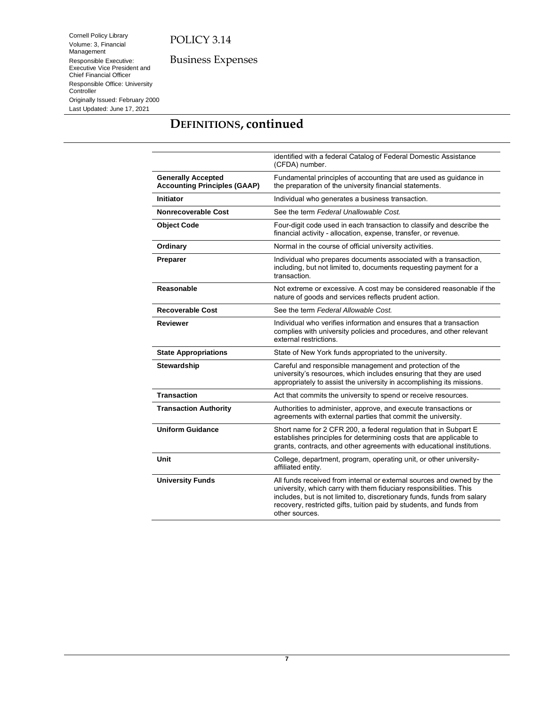Business Expenses

Management Responsible Executive: Executive Vice President and Chief Financial Officer Responsible Office: University **Controller** Originally Issued: February 2000 Last Updated: June 17, 2021

Cornell Policy Library Volume: 3, Financial

# **DEFINITIONS, continued**

|                                                                  | identified with a federal Catalog of Federal Domestic Assistance<br>(CFDA) number.                                                                                                                                                                                                                               |  |
|------------------------------------------------------------------|------------------------------------------------------------------------------------------------------------------------------------------------------------------------------------------------------------------------------------------------------------------------------------------------------------------|--|
| <b>Generally Accepted</b><br><b>Accounting Principles (GAAP)</b> | Fundamental principles of accounting that are used as guidance in<br>the preparation of the university financial statements.                                                                                                                                                                                     |  |
| <b>Initiator</b>                                                 | Individual who generates a business transaction.                                                                                                                                                                                                                                                                 |  |
| See the term Federal Unallowable Cost.<br>Nonrecoverable Cost    |                                                                                                                                                                                                                                                                                                                  |  |
| <b>Object Code</b>                                               | Four-digit code used in each transaction to classify and describe the<br>financial activity - allocation, expense, transfer, or revenue.                                                                                                                                                                         |  |
| Ordinary                                                         | Normal in the course of official university activities.                                                                                                                                                                                                                                                          |  |
| Preparer                                                         | Individual who prepares documents associated with a transaction,<br>including, but not limited to, documents requesting payment for a<br>transaction.                                                                                                                                                            |  |
| Reasonable                                                       | Not extreme or excessive. A cost may be considered reasonable if the<br>nature of goods and services reflects prudent action.                                                                                                                                                                                    |  |
| <b>Recoverable Cost</b><br>See the term Federal Allowable Cost.  |                                                                                                                                                                                                                                                                                                                  |  |
| Reviewer                                                         | Individual who verifies information and ensures that a transaction<br>complies with university policies and procedures, and other relevant<br>external restrictions.                                                                                                                                             |  |
| <b>State Appropriations</b>                                      | State of New York funds appropriated to the university.                                                                                                                                                                                                                                                          |  |
| <b>Stewardship</b>                                               | Careful and responsible management and protection of the<br>university's resources, which includes ensuring that they are used<br>appropriately to assist the university in accomplishing its missions.                                                                                                          |  |
| <b>Transaction</b>                                               | Act that commits the university to spend or receive resources.                                                                                                                                                                                                                                                   |  |
| <b>Transaction Authority</b>                                     | Authorities to administer, approve, and execute transactions or<br>agreements with external parties that commit the university.                                                                                                                                                                                  |  |
| <b>Uniform Guidance</b>                                          | Short name for 2 CFR 200, a federal regulation that in Subpart E<br>establishes principles for determining costs that are applicable to<br>grants, contracts, and other agreements with educational institutions.                                                                                                |  |
| Unit                                                             | College, department, program, operating unit, or other university-<br>affiliated entity.                                                                                                                                                                                                                         |  |
| <b>University Funds</b>                                          | All funds received from internal or external sources and owned by the<br>university, which carry with them fiduciary responsibilities. This<br>includes, but is not limited to, discretionary funds, funds from salary<br>recovery, restricted gifts, tuition paid by students, and funds from<br>other sources. |  |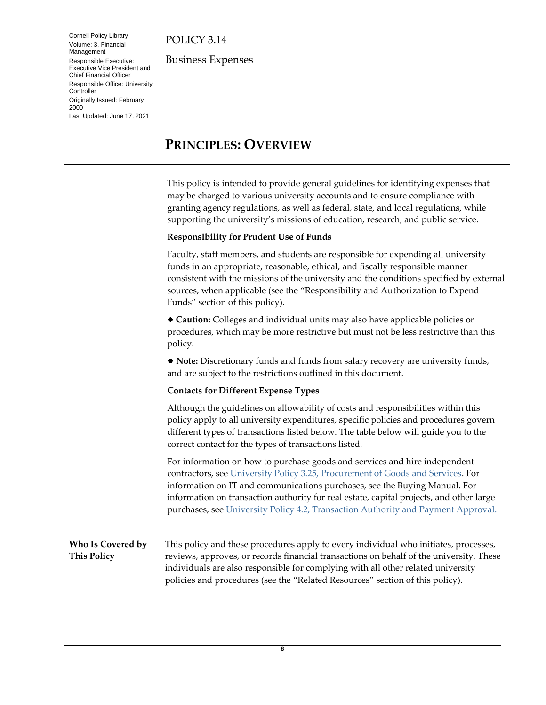Cornell Policy Library Volume: 3, Financial Management Responsible Executive: Executive Vice President and Chief Financial Officer Responsible Office: University **Controller** Originally Issued: February 2000 Last Updated: June 17, 2021

Business Expenses

# <span id="page-7-2"></span><span id="page-7-0"></span>**PRINCIPLES: OVERVIEW**

This policy is intended to provide general guidelines for identifying expenses that may be charged to various university accounts and to ensure compliance with granting agency regulations, as well as federal, state, and local regulations, while supporting the university's missions of education, research, and public service.

#### **Responsibility for Prudent Use of Funds**

Faculty, staff members, and students are responsible for expending all university funds in an appropriate, reasonable, ethical, and fiscally responsible manner consistent with the missions of the university and the conditions specified by external sources, when applicable (see the "Responsibility and Authorization to Expend Funds" section of this policy).

**Caution:** Colleges and individual units may also have applicable policies or procedures, which may be more restrictive but must not be less restrictive than this policy.

**Note:** Discretionary funds and funds from salary recovery are university funds, and are subject to the restrictions outlined in this document.

#### **Contacts for Different Expense Types**

Although the guidelines on allowability of costs and responsibilities within this policy apply to all university expenditures, specific policies and procedures govern different types of transactions listed below. The table below will guide you to the correct contact for the types of transactions listed.

For information on how to purchase goods and services and hire independent contractors, see [University Policy 3.25, Procurement of Goods and Services.](https://www.dfa.cornell.edu/policy/policies/procurement-goods-and-services) For information on IT and communications purchases, see the Buying Manual. For information on transaction authority for real estate, capital projects, and other large purchases, see [University Policy 4.2, Transaction Authority and Payment Approval.](https://www.dfa.cornell.edu/policy/policies/transaction-authority-and-payment-approval)

#### <span id="page-7-3"></span><span id="page-7-1"></span>**Who Is Covered by This Policy** This policy and these procedures apply to every individual who initiates, processes, reviews, approves, or records financial transactions on behalf of the university. These individuals are also responsible for complying with all other related university policies and procedures (see the "Related Resources" section of this policy).

**8**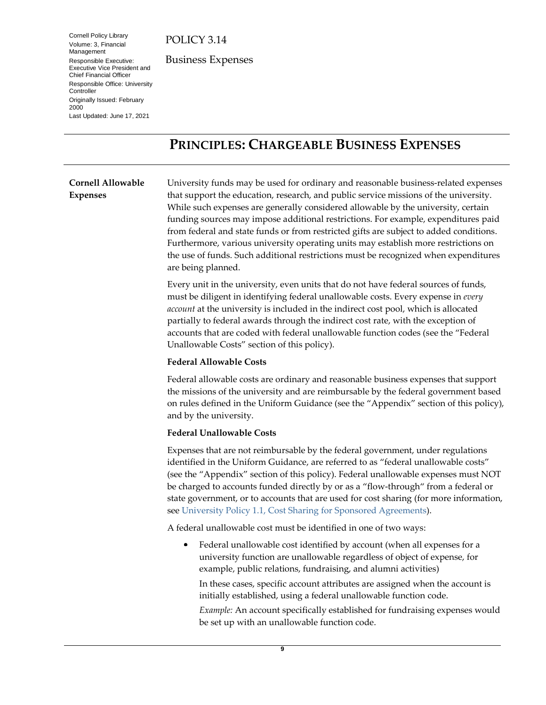Cornell Policy Library Volume: 3, Financial Management Responsible Executive: Executive Vice President and Chief Financial Officer Responsible Office: University **Controller** Originally Issued: February 2000 Last Updated: June 17, 2021

Business Expenses

# <span id="page-8-2"></span><span id="page-8-0"></span>**PRINCIPLES: CHARGEABLE BUSINESS EXPENSES**

#### <span id="page-8-3"></span><span id="page-8-1"></span>**Cornell Allowable Expenses** University funds may be used for ordinary and reasonable business-related expenses that support the education, research, and public service missions of the university. While such expenses are generally considered allowable by the university, certain funding sources may impose additional restrictions. For example, expenditures paid from federal and state funds or from restricted gifts are subject to added conditions. Furthermore, various university operating units may establish more restrictions on

the use of funds. Such additional restrictions must be recognized when expenditures are being planned. Every unit in the university, even units that do not have federal sources of funds, must be diligent in identifying federal unallowable costs. Every expense in *every account* at the university is included in the indirect cost pool, which is allocated partially to federal awards through the indirect cost rate, with the exception of accounts that are coded with federal unallowable function codes (see the "Federal

#### **Federal Allowable Costs**

Unallowable Costs" section of this policy).

Federal allowable costs are ordinary and reasonable business expenses that support the missions of the university and are reimbursable by the federal government based on rules defined in the Uniform Guidance (see the "Appendix" section of this policy), and by the university.

#### **Federal Unallowable Costs**

Expenses that are not reimbursable by the federal government, under regulations identified in the Uniform Guidance, are referred to as "federal unallowable costs" (see the "Appendix" section of this policy). Federal unallowable expenses must NOT be charged to accounts funded directly by or as a "flow-through" from a federal or state government, or to accounts that are used for cost sharing (for more information, see [University Policy 1.1, Cost Sharing](https://www.dfa.cornell.edu/policy/policies/cost-sharing-sponsored-agreements) for Sponsored Agreements).

A federal unallowable cost must be identified in one of two ways:

٠ Federal unallowable cost identified by account (when all expenses for a university function are unallowable regardless of object of expense, for example, public relations, fundraising, and alumni activities)

In these cases, specific account attributes are assigned when the account is initially established, using a federal unallowable function code.

*Example:* An account specifically established for fundraising expenses would be set up with an unallowable function code.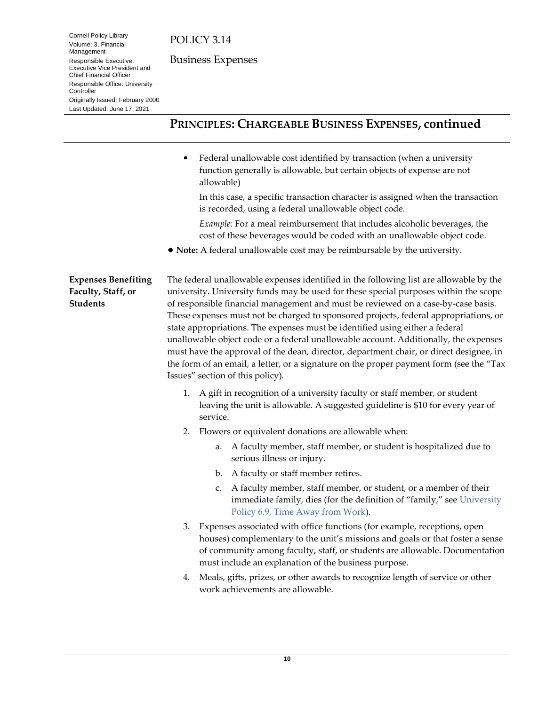Business Expenses

## **PRINCIPLES: CHARGEABLE BUSINESS EXPENSES, continued**

Federal unallowable cost identified by transaction (when a university  $\bullet$ function generally is allowable, but certain objects of expense are not allowable)

In this case, a specific transaction character is assigned when the transaction is recorded, using a federal unallowable object code.

*Example:* For a meal reimbursement that includes alcoholic beverages, the cost of these beverages would be coded with an unallowable object code.

**Note:** A federal unallowable cost may be reimbursable by the university.

<span id="page-9-1"></span><span id="page-9-0"></span>**Expenses Benefiting Faculty, Staff, or Students**

Cornell Policy Library Volume: 3, Financial Management Responsible Executive: Executive Vice President and Chief Financial Officer Responsible Office: University

Originally Issued: February 2000 Last Updated: June 17, 2021

**Controller** 

The federal unallowable expenses identified in the following list are allowable by the university. University funds may be used for these special purposes within the scope of responsible financial management and must be reviewed on a case-by-case basis. These expenses must not be charged to sponsored projects, federal appropriations, or state appropriations. The expenses must be identified using either a federal unallowable object code or a federal unallowable account. Additionally, the expenses must have the approval of the dean, director, department chair, or direct designee, in the form of an email, a letter, or a signature on the proper payment form (see the "Tax Issues" section of this policy).

- 1. A gift in recognition of a university faculty or staff member, or student leaving the unit is allowable. A suggested guideline is \$10 for every year of service.
- 2. Flowers or equivalent donations are allowable when:
	- a. A faculty member, staff member, or student is hospitalized due to serious illness or injury.
	- b. A faculty or staff member retires.
	- c. A faculty member, staff member, or student, or a member of their immediate family, dies (for the definition of "family," see [University](https://www.dfa.cornell.edu/policy/policies/time-away-work)  [Policy 6.9, Time Away from](https://www.dfa.cornell.edu/policy/policies/time-away-work) Work).
- 3. Expenses associated with office functions (for example, receptions, open houses) complementary to the unit's missions and goals or that foster a sense of community among faculty, staff, or students are allowable. Documentation must include an explanation of the business purpose.
- 4. Meals, gifts, prizes, or other awards to recognize length of service or other work achievements are allowable.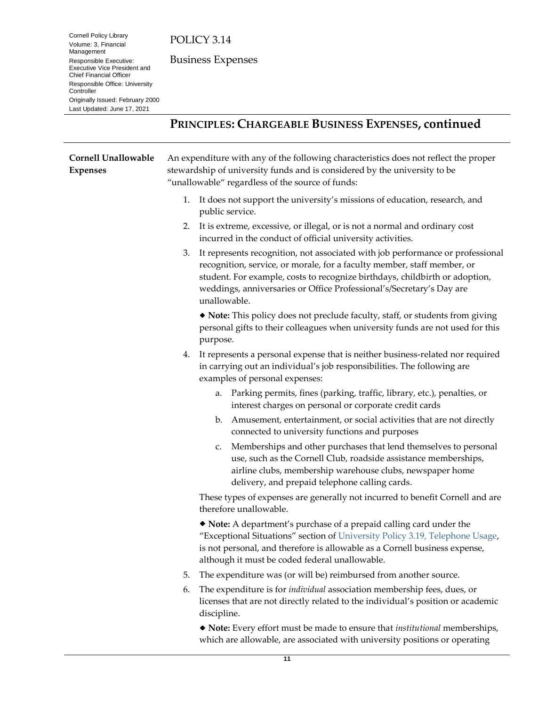Cornell Policy Library Volume: 3, Financial Management Responsible Executive: Executive Vice President and Chief Financial Officer Responsible Office: University **Controller** Originally Issued: February 2000 Last Updated: June 17, 2021

Business Expenses

# **PRINCIPLES: CHARGEABLE BUSINESS EXPENSES, continued**

<span id="page-10-1"></span><span id="page-10-0"></span>

| <b>Cornell Unallowable</b><br><b>Expenses</b> |    | An expenditure with any of the following characteristics does not reflect the proper<br>stewardship of university funds and is considered by the university to be<br>"unallowable" regardless of the source of funds:                                                                                                            |  |  |
|-----------------------------------------------|----|----------------------------------------------------------------------------------------------------------------------------------------------------------------------------------------------------------------------------------------------------------------------------------------------------------------------------------|--|--|
|                                               | 1. | It does not support the university's missions of education, research, and<br>public service.                                                                                                                                                                                                                                     |  |  |
|                                               | 2. | It is extreme, excessive, or illegal, or is not a normal and ordinary cost<br>incurred in the conduct of official university activities.                                                                                                                                                                                         |  |  |
|                                               | 3. | It represents recognition, not associated with job performance or professional<br>recognition, service, or morale, for a faculty member, staff member, or<br>student. For example, costs to recognize birthdays, childbirth or adoption,<br>weddings, anniversaries or Office Professional's/Secretary's Day are<br>unallowable. |  |  |
|                                               |    | • Note: This policy does not preclude faculty, staff, or students from giving<br>personal gifts to their colleagues when university funds are not used for this<br>purpose.                                                                                                                                                      |  |  |
|                                               | 4. | It represents a personal expense that is neither business-related nor required<br>in carrying out an individual's job responsibilities. The following are<br>examples of personal expenses:                                                                                                                                      |  |  |
|                                               |    | Parking permits, fines (parking, traffic, library, etc.), penalties, or<br>a.<br>interest charges on personal or corporate credit cards                                                                                                                                                                                          |  |  |
|                                               |    | Amusement, entertainment, or social activities that are not directly<br>b.<br>connected to university functions and purposes                                                                                                                                                                                                     |  |  |
|                                               |    | Memberships and other purchases that lend themselves to personal<br>c.<br>use, such as the Cornell Club, roadside assistance memberships,<br>airline clubs, membership warehouse clubs, newspaper home<br>delivery, and prepaid telephone calling cards.                                                                         |  |  |
|                                               |    | These types of expenses are generally not incurred to benefit Cornell and are<br>therefore unallowable.                                                                                                                                                                                                                          |  |  |
|                                               |    | • Note: A department's purchase of a prepaid calling card under the<br>"Exceptional Situations" section of University Policy 3.19, Telephone Usage,<br>is not personal, and therefore is allowable as a Cornell business expense,<br>although it must be coded federal unallowable.                                              |  |  |
|                                               | 5. | The expenditure was (or will be) reimbursed from another source.                                                                                                                                                                                                                                                                 |  |  |
|                                               | 6. | The expenditure is for <i>individual</i> association membership fees, dues, or<br>licenses that are not directly related to the individual's position or academic<br>discipline.                                                                                                                                                 |  |  |
|                                               |    | • Note: Every effort must be made to ensure that <i>institutional</i> memberships,<br>which are allowable, are associated with university positions or operating                                                                                                                                                                 |  |  |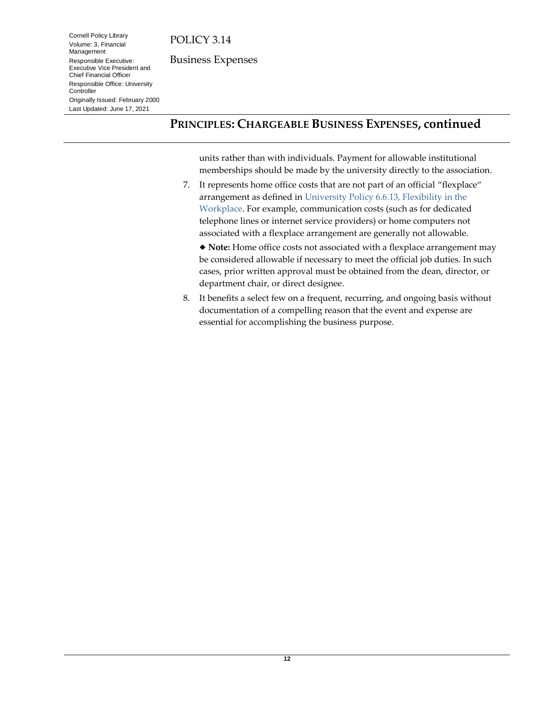Cornell Policy Library Volume: 3, Financial Management Responsible Executive: Executive Vice President and Chief Financial Officer Responsible Office: University

Originally Issued: February 2000 Last Updated: June 17, 2021

Controller

Business Expenses

# **PRINCIPLES: CHARGEABLE BUSINESS EXPENSES, continued**

units rather than with individuals. Payment for allowable institutional memberships should be made by the university directly to the association.

7. It represents home office costs that are not part of an official "flexplace" arrangement as defined in [University Policy 6.6.13, Flexibility in the](https://www.dfa.cornell.edu/policy/policies/flexibility-workplace)  [Workplace.](https://www.dfa.cornell.edu/policy/policies/flexibility-workplace) For example, communication costs (such as for dedicated telephone lines or internet service providers) or home computers not associated with a flexplace arrangement are generally not allowable.

**Note:** Home office costs not associated with a flexplace arrangement may be considered allowable if necessary to meet the official job duties. In such cases, prior written approval must be obtained from the dean, director, or department chair, or direct designee.

8. It benefits a select few on a frequent, recurring, and ongoing basis without documentation of a compelling reason that the event and expense are essential for accomplishing the business purpose.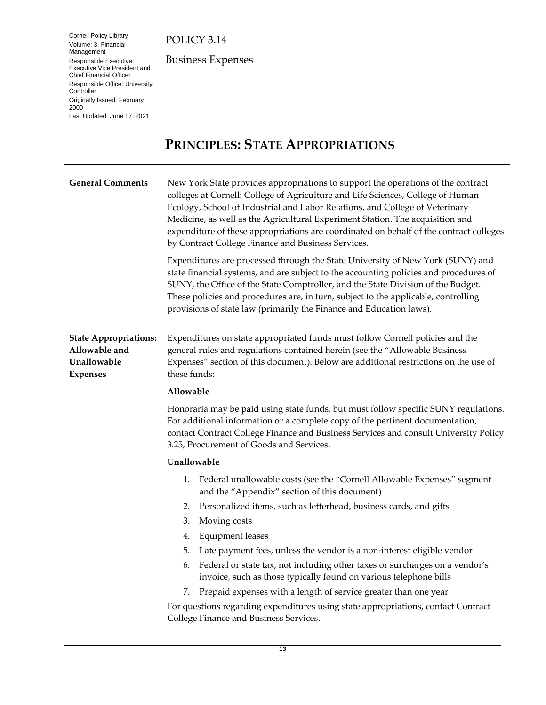Cornell Policy Library Volume: 3, Financial Management Responsible Executive: Executive Vice President and Chief Financial Officer Responsible Office: University **Controller** Originally Issued: February 2000 Last Updated: June 17, 2021

Business Expenses

# <span id="page-12-4"></span><span id="page-12-3"></span><span id="page-12-0"></span>**PRINCIPLES: STATE APPROPRIATIONS**

<span id="page-12-5"></span><span id="page-12-2"></span><span id="page-12-1"></span>

| <b>General Comments</b>                                                         |             | New York State provides appropriations to support the operations of the contract<br>colleges at Cornell: College of Agriculture and Life Sciences, College of Human<br>Ecology, School of Industrial and Labor Relations, and College of Veterinary<br>Medicine, as well as the Agricultural Experiment Station. The acquisition and<br>expenditure of these appropriations are coordinated on behalf of the contract colleges<br>by Contract College Finance and Business Services. |  |  |  |  |
|---------------------------------------------------------------------------------|-------------|--------------------------------------------------------------------------------------------------------------------------------------------------------------------------------------------------------------------------------------------------------------------------------------------------------------------------------------------------------------------------------------------------------------------------------------------------------------------------------------|--|--|--|--|
|                                                                                 |             | Expenditures are processed through the State University of New York (SUNY) and<br>state financial systems, and are subject to the accounting policies and procedures of<br>SUNY, the Office of the State Comptroller, and the State Division of the Budget.<br>These policies and procedures are, in turn, subject to the applicable, controlling<br>provisions of state law (primarily the Finance and Education laws).                                                             |  |  |  |  |
| <b>State Appropriations:</b><br>Allowable and<br>Unallowable<br><b>Expenses</b> |             | Expenditures on state appropriated funds must follow Cornell policies and the<br>general rules and regulations contained herein (see the "Allowable Business<br>Expenses" section of this document). Below are additional restrictions on the use of<br>these funds:                                                                                                                                                                                                                 |  |  |  |  |
|                                                                                 | Allowable   |                                                                                                                                                                                                                                                                                                                                                                                                                                                                                      |  |  |  |  |
|                                                                                 |             | Honoraria may be paid using state funds, but must follow specific SUNY regulations.<br>For additional information or a complete copy of the pertinent documentation,<br>contact Contract College Finance and Business Services and consult University Policy<br>3.25, Procurement of Goods and Services.                                                                                                                                                                             |  |  |  |  |
|                                                                                 | Unallowable |                                                                                                                                                                                                                                                                                                                                                                                                                                                                                      |  |  |  |  |
|                                                                                 | 1.          | Federal unallowable costs (see the "Cornell Allowable Expenses" segment<br>and the "Appendix" section of this document)                                                                                                                                                                                                                                                                                                                                                              |  |  |  |  |
|                                                                                 | 2.          | Personalized items, such as letterhead, business cards, and gifts                                                                                                                                                                                                                                                                                                                                                                                                                    |  |  |  |  |
|                                                                                 | 3.          | Moving costs                                                                                                                                                                                                                                                                                                                                                                                                                                                                         |  |  |  |  |
|                                                                                 | 4.          | <b>Equipment</b> leases                                                                                                                                                                                                                                                                                                                                                                                                                                                              |  |  |  |  |
|                                                                                 | 5.          | Late payment fees, unless the vendor is a non-interest eligible vendor                                                                                                                                                                                                                                                                                                                                                                                                               |  |  |  |  |
|                                                                                 | 6.          | Federal or state tax, not including other taxes or surcharges on a vendor's<br>invoice, such as those typically found on various telephone bills                                                                                                                                                                                                                                                                                                                                     |  |  |  |  |
|                                                                                 | 7.          | Prepaid expenses with a length of service greater than one year                                                                                                                                                                                                                                                                                                                                                                                                                      |  |  |  |  |
|                                                                                 |             | For questions regarding expenditures using state appropriations, contact Contract<br>College Finance and Business Services.                                                                                                                                                                                                                                                                                                                                                          |  |  |  |  |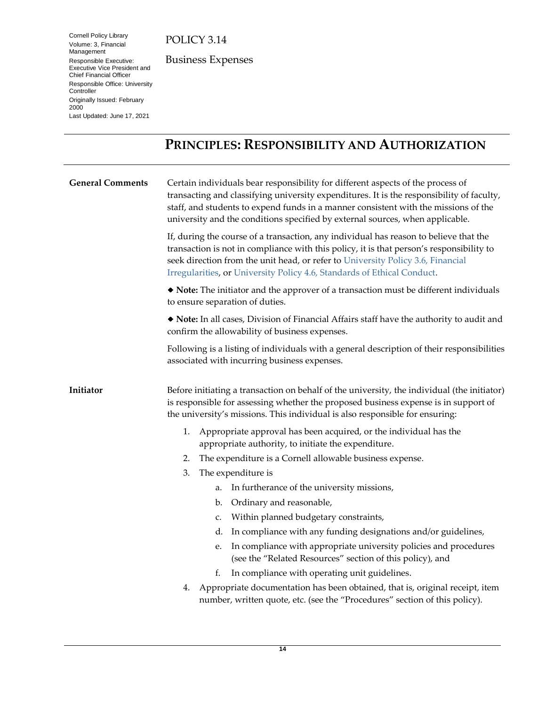Cornell Policy Library Volume: 3, Financial Management Responsible Executive: Executive Vice President and Chief Financial Officer Responsible Office: University **Controller** Originally Issued: February 2000 Last Updated: June 17, 2021

Business Expenses

# <span id="page-13-4"></span><span id="page-13-3"></span><span id="page-13-0"></span>**PRINCIPLES: RESPONSIBILITY AND AUTHORIZATION**

<span id="page-13-5"></span><span id="page-13-2"></span><span id="page-13-1"></span>

| <b>General Comments</b> | Certain individuals bear responsibility for different aspects of the process of<br>transacting and classifying university expenditures. It is the responsibility of faculty,<br>staff, and students to expend funds in a manner consistent with the missions of the<br>university and the conditions specified by external sources, when applicable. |    |                                                                                                                                                            |  |
|-------------------------|------------------------------------------------------------------------------------------------------------------------------------------------------------------------------------------------------------------------------------------------------------------------------------------------------------------------------------------------------|----|------------------------------------------------------------------------------------------------------------------------------------------------------------|--|
|                         | If, during the course of a transaction, any individual has reason to believe that the<br>transaction is not in compliance with this policy, it is that person's responsibility to<br>seek direction from the unit head, or refer to University Policy 3.6, Financial<br>Irregularities, or University Policy 4.6, Standards of Ethical Conduct.      |    |                                                                                                                                                            |  |
|                         | • Note: The initiator and the approver of a transaction must be different individuals<br>to ensure separation of duties.<br>• Note: In all cases, Division of Financial Affairs staff have the authority to audit and<br>confirm the allowability of business expenses.                                                                              |    |                                                                                                                                                            |  |
|                         |                                                                                                                                                                                                                                                                                                                                                      |    |                                                                                                                                                            |  |
|                         | Following is a listing of individuals with a general description of their responsibilities<br>associated with incurring business expenses.                                                                                                                                                                                                           |    |                                                                                                                                                            |  |
| Initiator               | Before initiating a transaction on behalf of the university, the individual (the initiator)<br>is responsible for assessing whether the proposed business expense is in support of<br>the university's missions. This individual is also responsible for ensuring:                                                                                   |    |                                                                                                                                                            |  |
|                         | 1.                                                                                                                                                                                                                                                                                                                                                   |    | Appropriate approval has been acquired, or the individual has the<br>appropriate authority, to initiate the expenditure.                                   |  |
|                         | 2.                                                                                                                                                                                                                                                                                                                                                   |    | The expenditure is a Cornell allowable business expense.                                                                                                   |  |
|                         | 3.                                                                                                                                                                                                                                                                                                                                                   |    | The expenditure is                                                                                                                                         |  |
|                         |                                                                                                                                                                                                                                                                                                                                                      | a. | In furtherance of the university missions,                                                                                                                 |  |
|                         |                                                                                                                                                                                                                                                                                                                                                      | b. | Ordinary and reasonable,                                                                                                                                   |  |
|                         |                                                                                                                                                                                                                                                                                                                                                      | c. | Within planned budgetary constraints,                                                                                                                      |  |
|                         |                                                                                                                                                                                                                                                                                                                                                      | d. | In compliance with any funding designations and/or guidelines,                                                                                             |  |
|                         |                                                                                                                                                                                                                                                                                                                                                      | e. | In compliance with appropriate university policies and procedures<br>(see the "Related Resources" section of this policy), and                             |  |
|                         |                                                                                                                                                                                                                                                                                                                                                      | f. | In compliance with operating unit guidelines.                                                                                                              |  |
|                         | 4.                                                                                                                                                                                                                                                                                                                                                   |    | Appropriate documentation has been obtained, that is, original receipt, item<br>number, written quote, etc. (see the "Procedures" section of this policy). |  |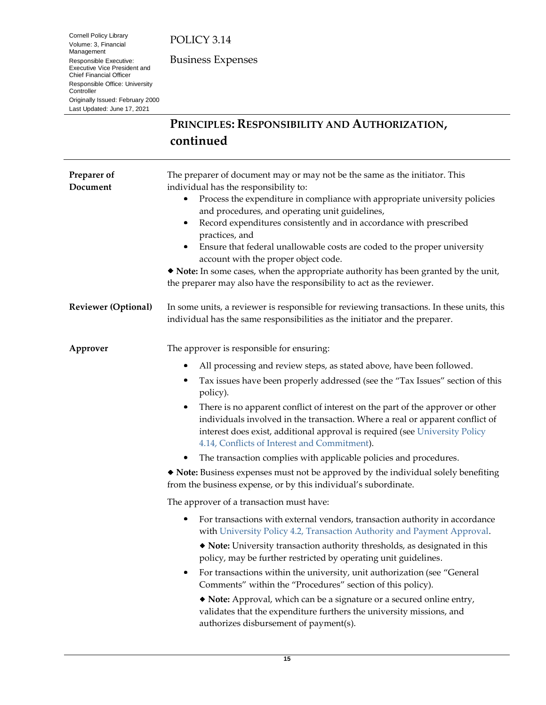Cornell Policy Library Volume: 3, Financial Management Responsible Executive: Executive Vice President and Chief Financial Officer Responsible Office: University **Controller** Originally Issued: February 2000 Last Updated: June 17, 2021

Business Expenses

# **PRINCIPLES: RESPONSIBILITY AND AUTHORIZATION, continued**

<span id="page-14-5"></span><span id="page-14-4"></span><span id="page-14-3"></span><span id="page-14-2"></span><span id="page-14-1"></span><span id="page-14-0"></span>

| Preparer of<br>Document    | The preparer of document may or may not be the same as the initiator. This<br>individual has the responsibility to:<br>Process the expenditure in compliance with appropriate university policies<br>٠<br>and procedures, and operating unit guidelines,<br>Record expenditures consistently and in accordance with prescribed<br>٠<br>practices, and<br>Ensure that federal unallowable costs are coded to the proper university<br>٠<br>account with the proper object code.<br>• Note: In some cases, when the appropriate authority has been granted by the unit,<br>the preparer may also have the responsibility to act as the reviewer. |  |  |  |  |
|----------------------------|------------------------------------------------------------------------------------------------------------------------------------------------------------------------------------------------------------------------------------------------------------------------------------------------------------------------------------------------------------------------------------------------------------------------------------------------------------------------------------------------------------------------------------------------------------------------------------------------------------------------------------------------|--|--|--|--|
| <b>Reviewer</b> (Optional) | In some units, a reviewer is responsible for reviewing transactions. In these units, this<br>individual has the same responsibilities as the initiator and the preparer.                                                                                                                                                                                                                                                                                                                                                                                                                                                                       |  |  |  |  |
| Approver                   | The approver is responsible for ensuring:                                                                                                                                                                                                                                                                                                                                                                                                                                                                                                                                                                                                      |  |  |  |  |
|                            | All processing and review steps, as stated above, have been followed.<br>٠                                                                                                                                                                                                                                                                                                                                                                                                                                                                                                                                                                     |  |  |  |  |
|                            | Tax issues have been properly addressed (see the "Tax Issues" section of this<br>٠<br>policy).                                                                                                                                                                                                                                                                                                                                                                                                                                                                                                                                                 |  |  |  |  |
|                            | There is no apparent conflict of interest on the part of the approver or other<br>individuals involved in the transaction. Where a real or apparent conflict of<br>interest does exist, additional approval is required (see University Policy<br>4.14, Conflicts of Interest and Commitment).                                                                                                                                                                                                                                                                                                                                                 |  |  |  |  |
|                            | The transaction complies with applicable policies and procedures.<br>٠                                                                                                                                                                                                                                                                                                                                                                                                                                                                                                                                                                         |  |  |  |  |
|                            | Note: Business expenses must not be approved by the individual solely benefiting<br>from the business expense, or by this individual's subordinate.                                                                                                                                                                                                                                                                                                                                                                                                                                                                                            |  |  |  |  |
|                            | The approver of a transaction must have:                                                                                                                                                                                                                                                                                                                                                                                                                                                                                                                                                                                                       |  |  |  |  |
|                            | For transactions with external vendors, transaction authority in accordance<br>٠<br>with University Policy 4.2, Transaction Authority and Payment Approval.                                                                                                                                                                                                                                                                                                                                                                                                                                                                                    |  |  |  |  |
|                            | • Note: University transaction authority thresholds, as designated in this<br>policy, may be further restricted by operating unit guidelines.                                                                                                                                                                                                                                                                                                                                                                                                                                                                                                  |  |  |  |  |
|                            | For transactions within the university, unit authorization (see "General<br>٠<br>Comments" within the "Procedures" section of this policy).                                                                                                                                                                                                                                                                                                                                                                                                                                                                                                    |  |  |  |  |
|                            | • Note: Approval, which can be a signature or a secured online entry,<br>validates that the expenditure furthers the university missions, and<br>authorizes disbursement of payment(s).                                                                                                                                                                                                                                                                                                                                                                                                                                                        |  |  |  |  |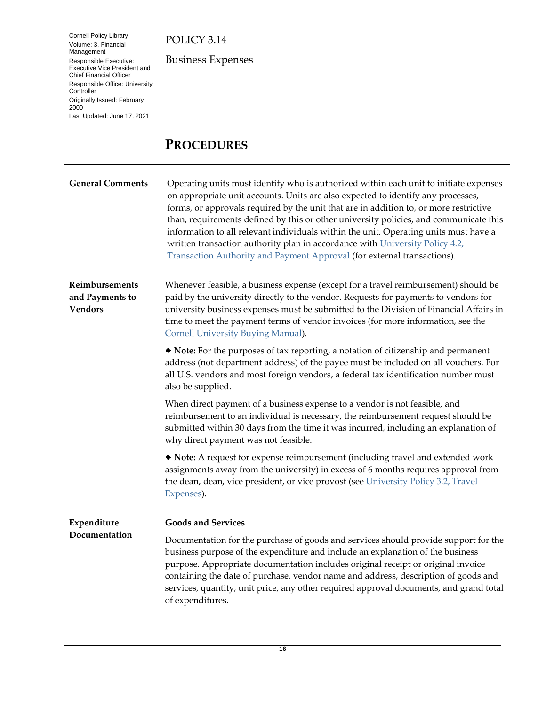Volume: 3, Financial Management Responsible Executive: Executive Vice President and Chief Financial Officer Responsible Office: University **Controller** Originally Issued: February 2000 Last Updated: June 17, 2021

Cornell Policy Library

Business Expenses

# <span id="page-15-5"></span><span id="page-15-4"></span><span id="page-15-0"></span>**PROCEDURES**

<span id="page-15-6"></span><span id="page-15-2"></span><span id="page-15-1"></span>

| <b>General Comments</b>                             | Operating units must identify who is authorized within each unit to initiate expenses<br>on appropriate unit accounts. Units are also expected to identify any processes,<br>forms, or approvals required by the unit that are in addition to, or more restrictive<br>than, requirements defined by this or other university policies, and communicate this<br>information to all relevant individuals within the unit. Operating units must have a<br>written transaction authority plan in accordance with University Policy 4.2,<br>Transaction Authority and Payment Approval (for external transactions). |
|-----------------------------------------------------|----------------------------------------------------------------------------------------------------------------------------------------------------------------------------------------------------------------------------------------------------------------------------------------------------------------------------------------------------------------------------------------------------------------------------------------------------------------------------------------------------------------------------------------------------------------------------------------------------------------|
| Reimbursements<br>and Payments to<br><b>Vendors</b> | Whenever feasible, a business expense (except for a travel reimbursement) should be<br>paid by the university directly to the vendor. Requests for payments to vendors for<br>university business expenses must be submitted to the Division of Financial Affairs in<br>time to meet the payment terms of vendor invoices (for more information, see the<br>Cornell University Buying Manual).                                                                                                                                                                                                                 |
|                                                     | • Note: For the purposes of tax reporting, a notation of citizenship and permanent<br>address (not department address) of the payee must be included on all vouchers. For<br>all U.S. vendors and most foreign vendors, a federal tax identification number must<br>also be supplied.                                                                                                                                                                                                                                                                                                                          |
|                                                     | When direct payment of a business expense to a vendor is not feasible, and<br>reimbursement to an individual is necessary, the reimbursement request should be<br>submitted within 30 days from the time it was incurred, including an explanation of<br>why direct payment was not feasible.                                                                                                                                                                                                                                                                                                                  |
|                                                     | • Note: A request for expense reimbursement (including travel and extended work<br>assignments away from the university) in excess of 6 months requires approval from<br>the dean, dean, vice president, or vice provost (see University Policy 3.2, Travel<br>Expenses).                                                                                                                                                                                                                                                                                                                                      |
| Expenditure                                         | <b>Goods and Services</b>                                                                                                                                                                                                                                                                                                                                                                                                                                                                                                                                                                                      |
| Documentation                                       | Documentation for the purchase of goods and services should provide support for the<br>business purpose of the expenditure and include an explanation of the business<br>purpose. Appropriate documentation includes original receipt or original invoice<br>containing the date of purchase, vendor name and address, description of goods and<br>services, quantity, unit price, any other required approval documents, and grand total<br>of expenditures.                                                                                                                                                  |

<span id="page-15-7"></span><span id="page-15-3"></span>**16**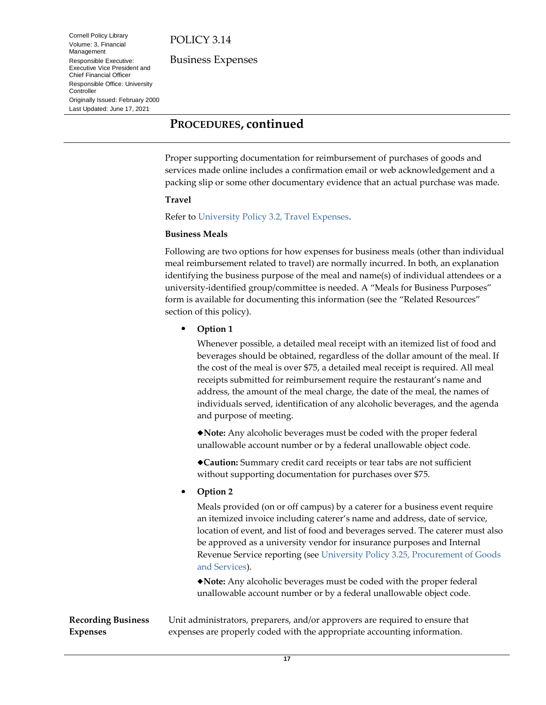Business Expenses

Cornell Policy Library Volume: 3, Financial Management Responsible Executive: Executive Vice President and Chief Financial Officer Responsible Office: University **Controller** Originally Issued: February 2000 Last Updated: June 17, 2021

## **PROCEDURES, continued**

Proper supporting documentation for reimbursement of purchases of goods and services made online includes a confirmation email or web acknowledgement and a packing slip or some other documentary evidence that an actual purchase was made.

#### **Travel**

Refer to [University Policy 3.2, Travel Expenses.](https://www.dfa.cornell.edu/policy/policies/travel-expenses)

#### **Business Meals**

Following are two options for how expenses for business meals (other than individual meal reimbursement related to travel) are normally incurred. In both, an explanation identifying the business purpose of the meal and name(s) of individual attendees or a university-identified group/committee is needed. A "Meals for Business Purposes" form is available for documenting this information (see the "Related Resources" section of this policy).

**Option 1**

Whenever possible, a detailed meal receipt with an itemized list of food and beverages should be obtained, regardless of the dollar amount of the meal. If the cost of the meal is over \$75, a detailed meal receipt is required. All meal receipts submitted for reimbursement require the restaurant's name and address, the amount of the meal charge, the date of the meal, the names of individuals served, identification of any alcoholic beverages, and the agenda and purpose of meeting.

**Note:** Any alcoholic beverages must be coded with the proper federal unallowable account number or by a federal unallowable object code.

**Caution:** Summary credit card receipts or tear tabs are not sufficient without supporting documentation for purchases over \$75.

**Option 2**

Meals provided (on or off campus) by a caterer for a business event require an itemized invoice including caterer's name and address, date of service, location of event, and list of food and beverages served. The caterer must also be approved as a university vendor for insurance purposes and Internal Revenue Service reporting (see [University Policy 3.25, Procurement of Goods](https://www.dfa.cornell.edu/policy/policies/procurement-goods-and-services)  [and Services\)](https://www.dfa.cornell.edu/policy/policies/procurement-goods-and-services).

**Note:** Any alcoholic beverages must be coded with the proper federal unallowable account number or by a federal unallowable object code.

<span id="page-16-1"></span><span id="page-16-0"></span>**Recording Business Expenses** Unit administrators, preparers, and/or approvers are required to ensure that expenses are properly coded with the appropriate accounting information.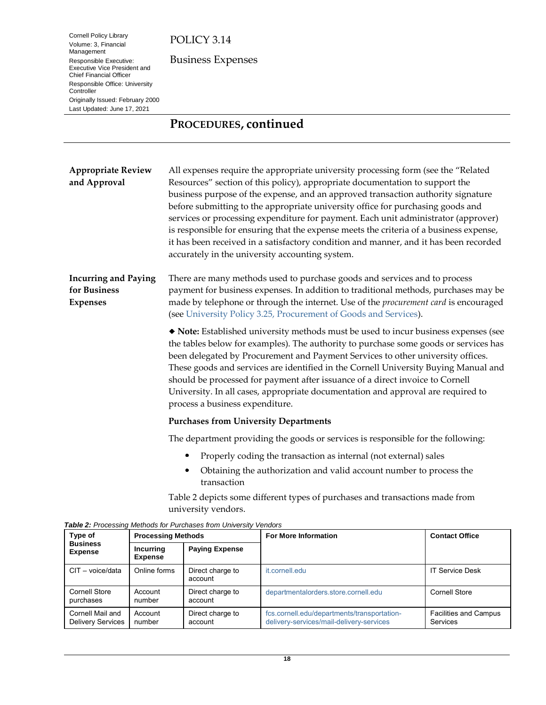Cornell Policy Library Volume: 3, Financial Management Responsible Executive: Executive Vice President and Chief Financial Officer Responsible Office: University

Originally Issued: February 2000 Last Updated: June 17, 2021

**Controller** 

Business Expenses

**PROCEDURES, continued**

<span id="page-17-3"></span><span id="page-17-2"></span><span id="page-17-1"></span><span id="page-17-0"></span>**Appropriate Review**  All expenses require the appropriate university processing form (see the "Related **and Approval** Resources" section of this policy), appropriate documentation to support the business purpose of the expense, and an approved transaction authority signature before submitting to the appropriate university office for purchasing goods and services or processing expenditure for payment. Each unit administrator (approver) is responsible for ensuring that the expense meets the criteria of a business expense, it has been received in a satisfactory condition and manner, and it has been recorded accurately in the university accounting system. **Incurring and Paying**  There are many methods used to purchase goods and services and to process **for Business**  payment for business expenses. In addition to traditional methods, purchases may be **Expenses** made by telephone or through the internet. Use of the *procurement card* is encouraged (se[e University Policy 3.25, Procurement of Goods and Services\)](https://www.dfa.cornell.edu/policy/policies/procurement-goods-and-services). **Note:** Established university methods must be used to incur business expenses (see the tables below for examples). The authority to purchase some goods or services has been delegated by Procurement and Payment Services to other university offices. These goods and services are identified in the Cornell University Buying Manual and should be processed for payment after issuance of a direct invoice to Cornell University. In all cases, appropriate documentation and approval are required to process a business expenditure. **Purchases from University Departments** The department providing the goods or services is responsible for the following:  $\bullet$ Properly coding the transaction as internal (not external) sales Obtaining the authorization and valid account number to process the transaction

> Table 2 depicts some different types of purchases and transactions made from university vendors.

| Type of                                      | <b>Processing Methods</b>          |                             | <b>For More Information</b>                                                             | <b>Contact Office</b>                    |
|----------------------------------------------|------------------------------------|-----------------------------|-----------------------------------------------------------------------------------------|------------------------------------------|
| <b>Business</b><br><b>Expense</b>            | <b>Incurring</b><br><b>Expense</b> | <b>Paying Expense</b>       |                                                                                         |                                          |
| $CIT - voice/data$                           | Online forms                       | Direct charge to<br>account | it.cornell.edu                                                                          | <b>IT Service Desk</b>                   |
| Cornell Store<br>purchases                   | Account<br>number                  | Direct charge to<br>account | departmentalorders.store.cornell.edu                                                    | Cornell Store                            |
| Cornell Mail and<br><b>Delivery Services</b> | Account<br>number                  | Direct charge to<br>account | fcs.cornell.edu/departments/transportation-<br>delivery-services/mail-delivery-services | <b>Facilities and Campus</b><br>Services |

*Table 2: Processing Methods for Purchases from University Vendors*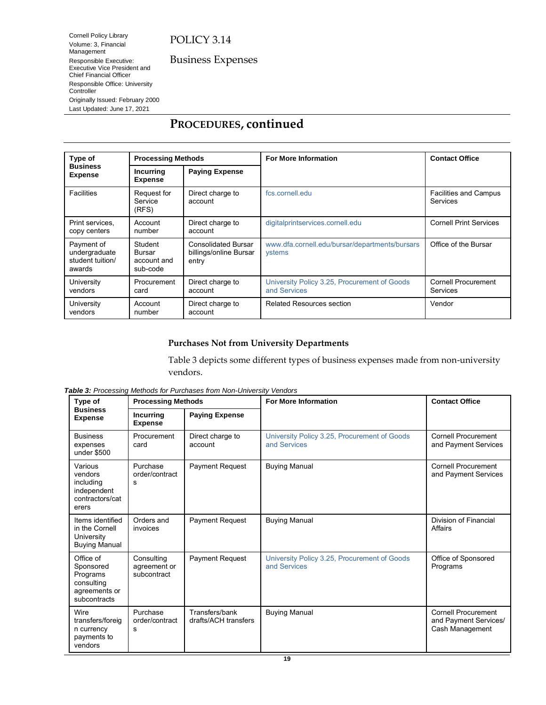Business Expenses

Cornell Policy Library Volume: 3, Financial Management Responsible Executive: Executive Vice President and Chief Financial Officer Responsible Office: University Controller Originally Issued: February 2000 Last Updated: June 17, 2021

# **PROCEDURES, continued**

| Type of<br><b>Business</b><br><b>Expense</b>              | <b>Processing Methods</b>                    |                                                               | <b>For More Information</b>                                     | <b>Contact Office</b>                           |
|-----------------------------------------------------------|----------------------------------------------|---------------------------------------------------------------|-----------------------------------------------------------------|-------------------------------------------------|
|                                                           | <b>Incurring</b><br><b>Expense</b>           | <b>Paying Expense</b>                                         |                                                                 |                                                 |
| Facilities                                                | Request for<br>Service<br>(RFS)              | Direct charge to<br>account                                   | fcs.cornell.edu                                                 | <b>Facilities and Campus</b><br><b>Services</b> |
| Print services,<br>copy centers                           | Account<br>number                            | Direct charge to<br>account                                   | digitalprintservices.cornell.edu                                | <b>Cornell Print Services</b>                   |
| Payment of<br>undergraduate<br>student tuition/<br>awards | Student<br>Bursar<br>account and<br>sub-code | <b>Consolidated Bursar</b><br>billings/online Bursar<br>entry | www.dfa.cornell.edu/bursar/departments/bursars<br><b>ystems</b> | Office of the Bursar                            |
| University<br>vendors                                     | Procurement<br>card                          | Direct charge to<br>account                                   | University Policy 3.25, Procurement of Goods<br>and Services    | Cornell Procurement<br>Services                 |
| University<br>vendors                                     | Account<br>number                            | Direct charge to<br>account                                   | <b>Related Resources section</b>                                | Vendor                                          |

#### **Purchases Not from University Departments**

Table 3 depicts some different types of business expenses made from non-university vendors.

*Table 3: Processing Methods for Purchases from Non-University Vendors*

| Type of<br><b>Business</b><br><b>Expense</b>                                      | <b>Processing Methods</b>                 |                                        | <b>For More Information</b>                                  | <b>Contact Office</b>                                                  |
|-----------------------------------------------------------------------------------|-------------------------------------------|----------------------------------------|--------------------------------------------------------------|------------------------------------------------------------------------|
|                                                                                   | <b>Incurring</b><br><b>Expense</b>        | <b>Paying Expense</b>                  |                                                              |                                                                        |
| <b>Business</b><br>expenses<br>under \$500                                        | Procurement<br>card                       | Direct charge to<br>account            | University Policy 3.25, Procurement of Goods<br>and Services | <b>Cornell Procurement</b><br>and Payment Services                     |
| Various<br>vendors<br>including<br>independent<br>contractors/cat<br>erers        | Purchase<br>order/contract<br>s           | <b>Payment Request</b>                 | <b>Buying Manual</b>                                         | Cornell Procurement<br>and Payment Services                            |
| Items identified<br>in the Cornell<br>University<br><b>Buying Manual</b>          | Orders and<br>invoices                    | <b>Payment Request</b>                 | <b>Buying Manual</b>                                         | Division of Financial<br>Affairs                                       |
| Office of<br>Sponsored<br>Programs<br>consulting<br>agreements or<br>subcontracts | Consulting<br>agreement or<br>subcontract | <b>Payment Request</b>                 | University Policy 3.25, Procurement of Goods<br>and Services | Office of Sponsored<br>Programs                                        |
| Wire<br>transfers/foreig<br>n currency<br>payments to<br>vendors                  | Purchase<br>order/contract<br>s           | Transfers/bank<br>drafts/ACH transfers | <b>Buying Manual</b>                                         | <b>Cornell Procurement</b><br>and Payment Services/<br>Cash Management |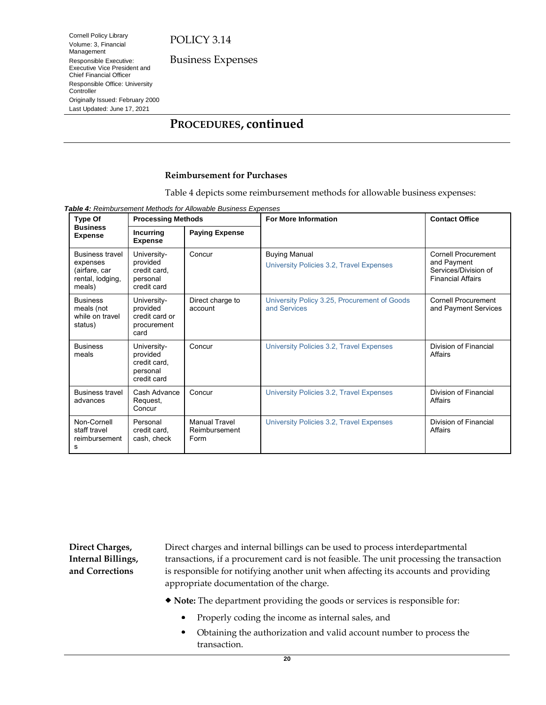Business Expenses

Volume: 3, Financial Management Responsible Executive: Executive Vice President and Chief Financial Officer Responsible Office: University Controller Originally Issued: February 2000 Last Updated: June 17, 2021

Cornell Policy Library

# **PROCEDURES, continued**

#### **Reimbursement for Purchases**

Table 4 depicts some reimbursement methods for allowable business expenses:

*Table 4: Reimbursement Methods for Allowable Business Expenses*

| Type Of<br><b>Business</b><br><b>Expense</b>                                      | <b>Processing Methods</b>                                          |                                               | <b>For More Information</b>                                      | <b>Contact Office</b>                                                                         |
|-----------------------------------------------------------------------------------|--------------------------------------------------------------------|-----------------------------------------------|------------------------------------------------------------------|-----------------------------------------------------------------------------------------------|
|                                                                                   | <b>Incurring</b><br><b>Expense</b>                                 | <b>Paying Expense</b>                         |                                                                  |                                                                                               |
| <b>Business travel</b><br>expenses<br>(airfare, car<br>rental, lodging,<br>meals) | University-<br>provided<br>credit card,<br>personal<br>credit card | Concur                                        | <b>Buying Manual</b><br>University Policies 3.2, Travel Expenses | <b>Cornell Procurement</b><br>and Payment<br>Services/Division of<br><b>Financial Affairs</b> |
| <b>Business</b><br>meals (not<br>while on travel<br>status)                       | University-<br>provided<br>credit card or<br>procurement<br>card   | Direct charge to<br>account                   | University Policy 3.25, Procurement of Goods<br>and Services     | <b>Cornell Procurement</b><br>and Payment Services                                            |
| <b>Business</b><br>meals                                                          | University-<br>provided<br>credit card.<br>personal<br>credit card | Concur                                        | University Policies 3.2, Travel Expenses                         | Division of Financial<br>Affairs                                                              |
| <b>Business travel</b><br>advances                                                | Cash Advance<br>Request,<br>Concur                                 | Concur                                        | University Policies 3.2, Travel Expenses                         | Division of Financial<br>Affairs                                                              |
| Non-Cornell<br>staff travel<br>reimbursement<br>s                                 | Personal<br>credit card.<br>cash, check                            | <b>Manual Travel</b><br>Reimbursement<br>Form | University Policies 3.2, Travel Expenses                         | Division of Financial<br>Affairs                                                              |

<span id="page-19-0"></span>**Direct Charges, Internal Billings, and Corrections**

Direct charges and internal billings can be used to process interdepartmental transactions, if a procurement card is not feasible. The unit processing the transaction is responsible for notifying another unit when affecting its accounts and providing appropriate documentation of the charge.

**Note:** The department providing the goods or services is responsible for:

- Properly coding the income as internal sales, and
- Obtaining the authorization and valid account number to process the transaction.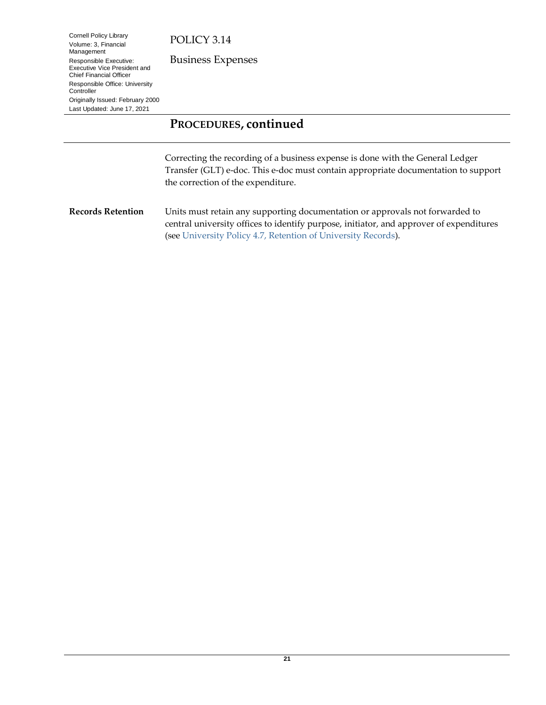Business Expenses

Cornell Policy Library Volume: 3, Financial Management Responsible Executive: Executive Vice President and Chief Financial Officer Responsible Office: University **Controller** Originally Issued: February 2000 Last Updated: June 17, 2021

# **PROCEDURES, continued**

<span id="page-20-1"></span>Correcting the recording of a business expense is done with the General Ledger Transfer (GLT) e-doc. This e-doc must contain appropriate documentation to support the correction of the expenditure.

<span id="page-20-2"></span><span id="page-20-0"></span>**Records Retention** Units must retain any supporting documentation or approvals not forwarded to central university offices to identify purpose, initiator, and approver of expenditures (se[e University Policy 4.7, Retention](https://www.dfa.cornell.edu/policy/policies/retention-university-records) of University Records).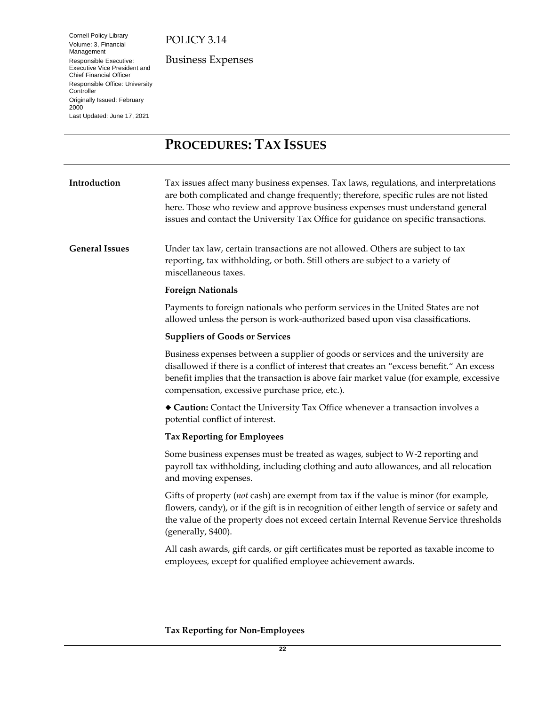Cornell Policy Library Volume: 3, Financial Management Responsible Executive: Executive Vice President and Chief Financial Officer Responsible Office: University **Controller** Originally Issued: February 2000 Last Updated: June 17, 2021

Business Expenses

# <span id="page-21-3"></span><span id="page-21-0"></span>**PROCEDURES: TAX ISSUES**

<span id="page-21-5"></span><span id="page-21-4"></span><span id="page-21-2"></span><span id="page-21-1"></span>

| Introduction          | Tax issues affect many business expenses. Tax laws, regulations, and interpretations<br>are both complicated and change frequently; therefore, specific rules are not listed<br>here. Those who review and approve business expenses must understand general<br>issues and contact the University Tax Office for guidance on specific transactions. |
|-----------------------|-----------------------------------------------------------------------------------------------------------------------------------------------------------------------------------------------------------------------------------------------------------------------------------------------------------------------------------------------------|
| <b>General Issues</b> | Under tax law, certain transactions are not allowed. Others are subject to tax<br>reporting, tax withholding, or both. Still others are subject to a variety of<br>miscellaneous taxes.                                                                                                                                                             |
|                       | <b>Foreign Nationals</b>                                                                                                                                                                                                                                                                                                                            |
|                       | Payments to foreign nationals who perform services in the United States are not<br>allowed unless the person is work-authorized based upon visa classifications.                                                                                                                                                                                    |
|                       | <b>Suppliers of Goods or Services</b>                                                                                                                                                                                                                                                                                                               |
|                       | Business expenses between a supplier of goods or services and the university are<br>disallowed if there is a conflict of interest that creates an "excess benefit." An excess<br>benefit implies that the transaction is above fair market value (for example, excessive<br>compensation, excessive purchase price, etc.).                          |
|                       | • Caution: Contact the University Tax Office whenever a transaction involves a<br>potential conflict of interest.                                                                                                                                                                                                                                   |
|                       | <b>Tax Reporting for Employees</b>                                                                                                                                                                                                                                                                                                                  |
|                       | Some business expenses must be treated as wages, subject to W-2 reporting and<br>payroll tax withholding, including clothing and auto allowances, and all relocation<br>and moving expenses.                                                                                                                                                        |
|                       | Gifts of property (not cash) are exempt from tax if the value is minor (for example,<br>flowers, candy), or if the gift is in recognition of either length of service or safety and<br>the value of the property does not exceed certain Internal Revenue Service thresholds<br>(generally, \$400).                                                 |
|                       | All cash awards, gift cards, or gift certificates must be reported as taxable income to<br>employees, except for qualified employee achievement awards.                                                                                                                                                                                             |
|                       |                                                                                                                                                                                                                                                                                                                                                     |

### **Tax Reporting for Non-Employees**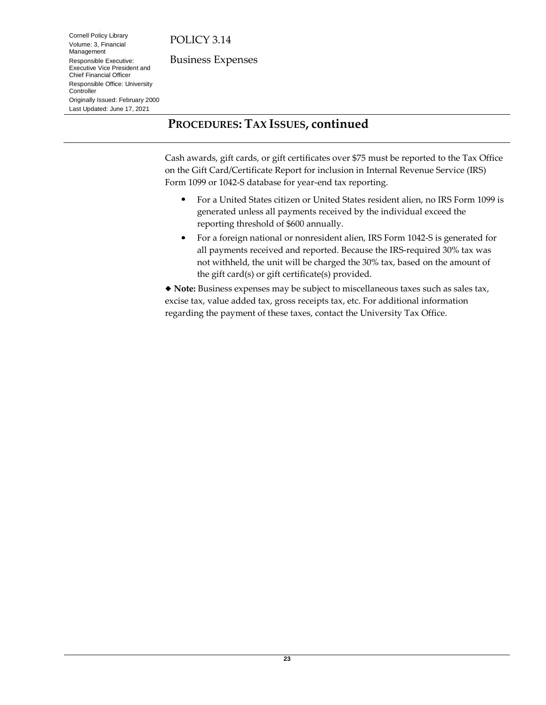Cornell Policy Library Volume: 3, Financial Management Responsible Executive: Executive Vice President and Chief Financial Officer Responsible Office: University

Originally Issued: February 2000 Last Updated: June 17, 2021

Controller

Business Expenses

**PROCEDURES: TAX ISSUES, continued**

Cash awards, gift cards, or gift certificates over \$75 must be reported to the Tax Office on the Gift Card/Certificate Report for inclusion in Internal Revenue Service (IRS) Form 1099 or 1042-S database for year-end tax reporting.

- For a United States citizen or United States resident alien, no IRS Form 1099 is generated unless all payments received by the individual exceed the reporting threshold of \$600 annually.
- For a foreign national or nonresident alien, IRS Form 1042-S is generated for  $\bullet$ all payments received and reported. Because the IRS-required 30% tax was not withheld, the unit will be charged the 30% tax, based on the amount of the gift card(s) or gift certificate(s) provided.

**Note:** Business expenses may be subject to miscellaneous taxes such as sales tax, excise tax, value added tax, gross receipts tax, etc. For additional information regarding the payment of these taxes, contact the University Tax Office.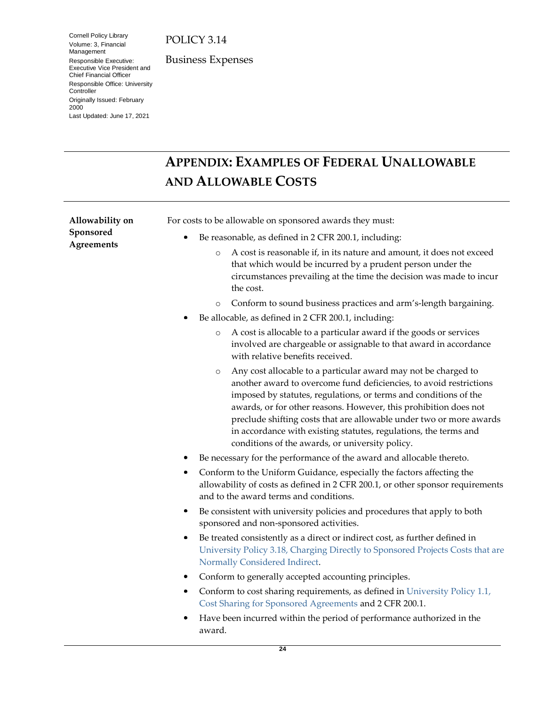Cornell Policy Library Volume: 3, Financial Management Responsible Executive: Executive Vice President and Chief Financial Officer Responsible Office: University **Controller** Originally Issued: February 2000 Last Updated: June 17, 2021

Business Expenses

# <span id="page-23-2"></span><span id="page-23-0"></span>**APPENDIX: EXAMPLES OF FEDERAL UNALLOWABLE AND ALLOWABLE COSTS**

<span id="page-23-3"></span><span id="page-23-1"></span>

| Allowability on                | For costs to be allowable on sponsored awards they must:                                                                                                                                                                                                                                                                                                                                                                                                                              |  |  |  |
|--------------------------------|---------------------------------------------------------------------------------------------------------------------------------------------------------------------------------------------------------------------------------------------------------------------------------------------------------------------------------------------------------------------------------------------------------------------------------------------------------------------------------------|--|--|--|
| Sponsored<br><b>Agreements</b> | Be reasonable, as defined in 2 CFR 200.1, including:                                                                                                                                                                                                                                                                                                                                                                                                                                  |  |  |  |
|                                | A cost is reasonable if, in its nature and amount, it does not exceed<br>$\circ$<br>that which would be incurred by a prudent person under the<br>circumstances prevailing at the time the decision was made to incur<br>the cost.                                                                                                                                                                                                                                                    |  |  |  |
|                                | Conform to sound business practices and arm's-length bargaining.<br>$\circ$                                                                                                                                                                                                                                                                                                                                                                                                           |  |  |  |
|                                | Be allocable, as defined in 2 CFR 200.1, including:                                                                                                                                                                                                                                                                                                                                                                                                                                   |  |  |  |
|                                | A cost is allocable to a particular award if the goods or services<br>$\circ$<br>involved are chargeable or assignable to that award in accordance<br>with relative benefits received.                                                                                                                                                                                                                                                                                                |  |  |  |
|                                | Any cost allocable to a particular award may not be charged to<br>$\circ$<br>another award to overcome fund deficiencies, to avoid restrictions<br>imposed by statutes, regulations, or terms and conditions of the<br>awards, or for other reasons. However, this prohibition does not<br>preclude shifting costs that are allowable under two or more awards<br>in accordance with existing statutes, regulations, the terms and<br>conditions of the awards, or university policy. |  |  |  |
|                                | Be necessary for the performance of the award and allocable thereto.                                                                                                                                                                                                                                                                                                                                                                                                                  |  |  |  |
|                                | Conform to the Uniform Guidance, especially the factors affecting the<br>allowability of costs as defined in 2 CFR 200.1, or other sponsor requirements<br>and to the award terms and conditions.                                                                                                                                                                                                                                                                                     |  |  |  |
|                                | Be consistent with university policies and procedures that apply to both<br>sponsored and non-sponsored activities.                                                                                                                                                                                                                                                                                                                                                                   |  |  |  |
|                                | Be treated consistently as a direct or indirect cost, as further defined in<br>University Policy 3.18, Charging Directly to Sponsored Projects Costs that are<br>Normally Considered Indirect.                                                                                                                                                                                                                                                                                        |  |  |  |
|                                | Conform to generally accepted accounting principles.                                                                                                                                                                                                                                                                                                                                                                                                                                  |  |  |  |
|                                | Conform to cost sharing requirements, as defined in University Policy 1.1,<br>۰<br>Cost Sharing for Sponsored Agreements and 2 CFR 200.1.                                                                                                                                                                                                                                                                                                                                             |  |  |  |
|                                | Have been incurred within the period of performance authorized in the<br>٠<br>award.                                                                                                                                                                                                                                                                                                                                                                                                  |  |  |  |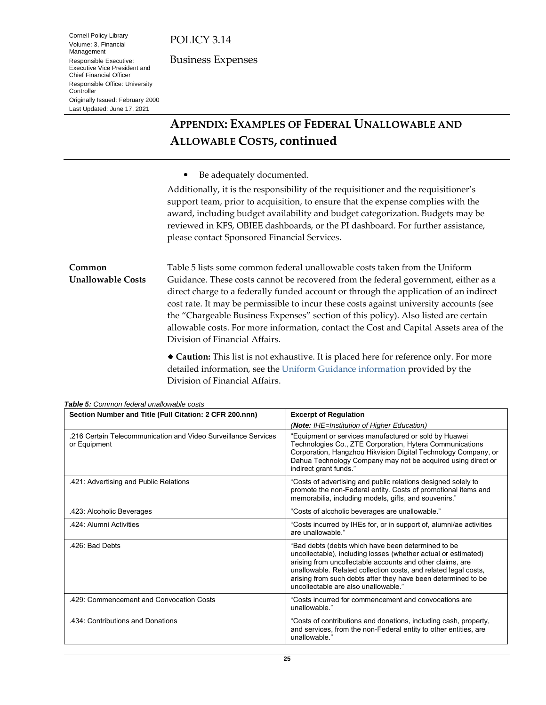Cornell Policy Library Volume: 3, Financial Management Responsible Executive: Executive Vice President and Chief Financial Officer Responsible Office: University

Originally Issued: February 2000 Last Updated: June 17, 2021

Controller

Business Expenses

# **APPENDIX: EXAMPLES OF FEDERAL UNALLOWABLE AND ALLOWABLE COSTS, continued**

 $\bullet$ Be adequately documented.

Additionally, it is the responsibility of the requisitioner and the requisitioner's support team, prior to acquisition, to ensure that the expense complies with the award, including budget availability and budget categorization. Budgets may be reviewed in KFS, OBIEE dashboards, or the PI dashboard. For further assistance, please contact [Sponsored Financial Services.](mailto:sfs-help@cornell.edu)

<span id="page-24-1"></span><span id="page-24-0"></span>**Common Unallowable Costs** Table 5 lists some common federal unallowable costs taken from the Uniform Guidance. These costs cannot be recovered from the federal government, either as a direct charge to a federally funded account or through the application of an indirect cost rate. It may be permissible to incur these costs against university accounts (see the "Chargeable Business Expenses" section of this policy). Also listed are certain allowable costs. For more information, contact the Cost and Capital Assets area of the Division of Financial Affairs.

> **Caution:** This list is not exhaustive. It is placed here for reference only. For more detailed information, see the [Uniform Guidance](https://www.dfa.cornell.edu/sfs/managingawards/guidance) information provided by the Division of Financial Affairs.

| Section Number and Title (Full Citation: 2 CFR 200.nnn)                        | <b>Excerpt of Regulation</b>                                                                                                                                                                                                                                                                                                                                  |  |
|--------------------------------------------------------------------------------|---------------------------------------------------------------------------------------------------------------------------------------------------------------------------------------------------------------------------------------------------------------------------------------------------------------------------------------------------------------|--|
|                                                                                | (Note: IHE=Institution of Higher Education)                                                                                                                                                                                                                                                                                                                   |  |
| .216 Certain Telecommunication and Video Surveillance Services<br>or Equipment | "Equipment or services manufactured or sold by Huawei<br>Technologies Co., ZTE Corporation, Hytera Communications<br>Corporation, Hangzhou Hikvision Digital Technology Company, or<br>Dahua Technology Company may not be acquired using direct or<br>indirect grant funds."                                                                                 |  |
| .421: Advertising and Public Relations                                         | "Costs of advertising and public relations designed solely to<br>promote the non-Federal entity. Costs of promotional items and<br>memorabilia, including models, gifts, and souvenirs."                                                                                                                                                                      |  |
| .423: Alcoholic Beverages                                                      | "Costs of alcoholic beverages are unallowable."                                                                                                                                                                                                                                                                                                               |  |
| .424: Alumni Activities                                                        | "Costs incurred by IHEs for, or in support of, alumni/ae activities<br>are unallowable."                                                                                                                                                                                                                                                                      |  |
| .426: Bad Debts                                                                | "Bad debts (debts which have been determined to be<br>uncollectable), including losses (whether actual or estimated)<br>arising from uncollectable accounts and other claims, are<br>unallowable. Related collection costs, and related legal costs,<br>arising from such debts after they have been determined to be<br>uncollectable are also unallowable ' |  |
| .429: Commencement and Convocation Costs                                       | "Costs incurred for commencement and convocations are<br>unallowable."                                                                                                                                                                                                                                                                                        |  |
| .434: Contributions and Donations                                              | "Costs of contributions and donations, including cash, property,<br>and services, from the non-Federal entity to other entities, are<br>unallowable.'                                                                                                                                                                                                         |  |

*Table 5: Common federal unallowable costs*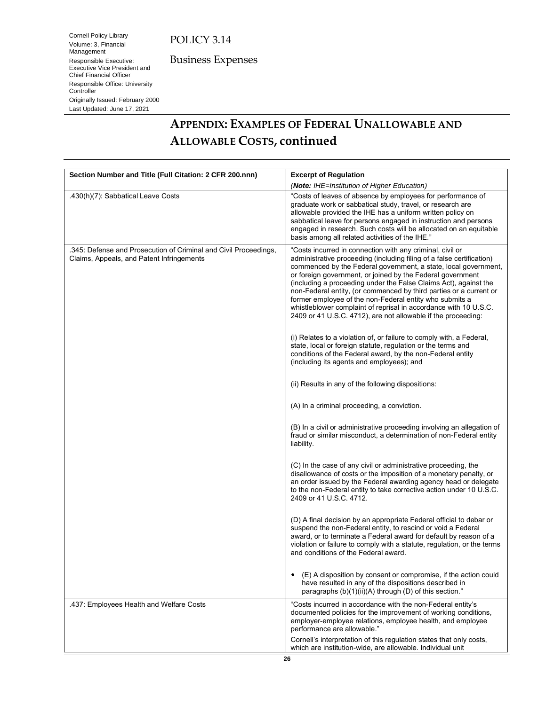Cornell Policy Library Volume: 3, Financial Management Responsible Executive: Executive Vice President and Chief Financial Officer Responsible Office: University

Originally Issued: February 2000 Last Updated: June 17, 2021

**Controller** 

Business Expenses

**APPENDIX: EXAMPLES OF FEDERAL UNALLOWABLE AND ALLOWABLE COSTS, continued**

| Section Number and Title (Full Citation: 2 CFR 200.nnn)                                                       | <b>Excerpt of Regulation</b>                                                                                                                                                                                                                                                                                                                                                                                                                                                                                                                                                                                                                                                                                                                                                                                        |
|---------------------------------------------------------------------------------------------------------------|---------------------------------------------------------------------------------------------------------------------------------------------------------------------------------------------------------------------------------------------------------------------------------------------------------------------------------------------------------------------------------------------------------------------------------------------------------------------------------------------------------------------------------------------------------------------------------------------------------------------------------------------------------------------------------------------------------------------------------------------------------------------------------------------------------------------|
|                                                                                                               | (Note: IHE=Institution of Higher Education)                                                                                                                                                                                                                                                                                                                                                                                                                                                                                                                                                                                                                                                                                                                                                                         |
| .430(h)(7): Sabbatical Leave Costs                                                                            | "Costs of leaves of absence by employees for performance of<br>graduate work or sabbatical study, travel, or research are<br>allowable provided the IHE has a uniform written policy on<br>sabbatical leave for persons engaged in instruction and persons<br>engaged in research. Such costs will be allocated on an equitable<br>basis among all related activities of the IHE."                                                                                                                                                                                                                                                                                                                                                                                                                                  |
| .345: Defense and Prosecution of Criminal and Civil Proceedings,<br>Claims, Appeals, and Patent Infringements | "Costs incurred in connection with any criminal, civil or<br>administrative proceeding (including filing of a false certification)<br>commenced by the Federal government, a state, local government,<br>or foreign government, or joined by the Federal government<br>(including a proceeding under the False Claims Act), against the<br>non-Federal entity, (or commenced by third parties or a current or<br>former employee of the non-Federal entity who submits a<br>whistleblower complaint of reprisal in accordance with 10 U.S.C.<br>2409 or 41 U.S.C. 4712), are not allowable if the proceeding:<br>(i) Relates to a violation of, or failure to comply with, a Federal,<br>state, local or foreign statute, regulation or the terms and<br>conditions of the Federal award, by the non-Federal entity |
|                                                                                                               | (including its agents and employees); and<br>(ii) Results in any of the following dispositions:                                                                                                                                                                                                                                                                                                                                                                                                                                                                                                                                                                                                                                                                                                                     |
|                                                                                                               | (A) In a criminal proceeding, a conviction.                                                                                                                                                                                                                                                                                                                                                                                                                                                                                                                                                                                                                                                                                                                                                                         |
|                                                                                                               | (B) In a civil or administrative proceeding involving an allegation of<br>fraud or similar misconduct, a determination of non-Federal entity<br>liability.                                                                                                                                                                                                                                                                                                                                                                                                                                                                                                                                                                                                                                                          |
|                                                                                                               | (C) In the case of any civil or administrative proceeding, the<br>disallowance of costs or the imposition of a monetary penalty, or<br>an order issued by the Federal awarding agency head or delegate<br>to the non-Federal entity to take corrective action under 10 U.S.C.<br>2409 or 41 U.S.C. 4712.                                                                                                                                                                                                                                                                                                                                                                                                                                                                                                            |
|                                                                                                               | (D) A final decision by an appropriate Federal official to debar or<br>suspend the non-Federal entity, to rescind or void a Federal<br>award, or to terminate a Federal award for default by reason of a<br>violation or failure to comply with a statute, regulation, or the terms<br>and conditions of the Federal award.                                                                                                                                                                                                                                                                                                                                                                                                                                                                                         |
|                                                                                                               | (E) A disposition by consent or compromise, if the action could<br>٠<br>have resulted in any of the dispositions described in<br>paragraphs (b)(1)(ii)(A) through (D) of this section."                                                                                                                                                                                                                                                                                                                                                                                                                                                                                                                                                                                                                             |
| .437: Employees Health and Welfare Costs                                                                      | "Costs incurred in accordance with the non-Federal entity's<br>documented policies for the improvement of working conditions,<br>employer-employee relations, employee health, and employee<br>performance are allowable."                                                                                                                                                                                                                                                                                                                                                                                                                                                                                                                                                                                          |
|                                                                                                               | Cornell's interpretation of this regulation states that only costs,<br>which are institution-wide, are allowable. Individual unit                                                                                                                                                                                                                                                                                                                                                                                                                                                                                                                                                                                                                                                                                   |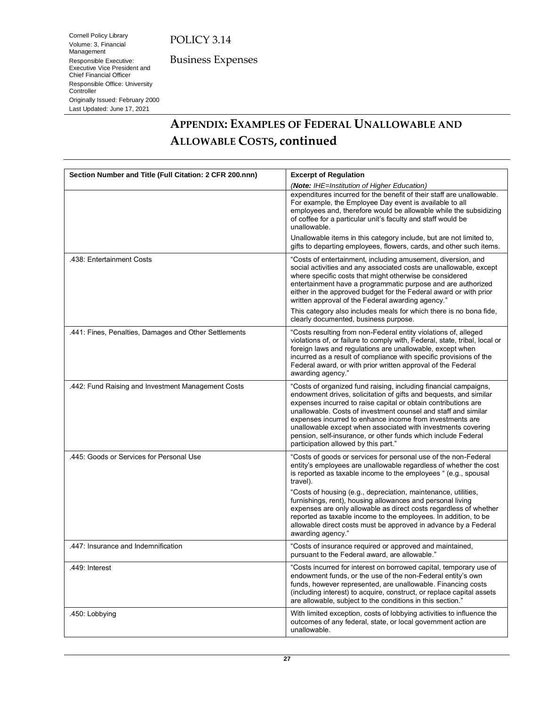Cornell Policy Library Volume: 3, Financial Management Responsible Executive: Executive Vice President and Chief Financial Officer Responsible Office: University

Originally Issued: February 2000 Last Updated: June 17, 2021

**Controller** 

Business Expenses

**APPENDIX: EXAMPLES OF FEDERAL UNALLOWABLE AND ALLOWABLE COSTS, continued**

| Section Number and Title (Full Citation: 2 CFR 200.nnn) | <b>Excerpt of Regulation</b>                                                                                                                                                                                                                                                                                                                                                                                                                                                                                   |
|---------------------------------------------------------|----------------------------------------------------------------------------------------------------------------------------------------------------------------------------------------------------------------------------------------------------------------------------------------------------------------------------------------------------------------------------------------------------------------------------------------------------------------------------------------------------------------|
|                                                         | (Note: IHE=Institution of Higher Education)                                                                                                                                                                                                                                                                                                                                                                                                                                                                    |
|                                                         | expenditures incurred for the benefit of their staff are unallowable.<br>For example, the Employee Day event is available to all<br>employees and, therefore would be allowable while the subsidizing<br>of coffee for a particular unit's faculty and staff would be<br>unallowable.                                                                                                                                                                                                                          |
|                                                         | Unallowable items in this category include, but are not limited to,<br>gifts to departing employees, flowers, cards, and other such items.                                                                                                                                                                                                                                                                                                                                                                     |
| .438: Entertainment Costs                               | "Costs of entertainment, including amusement, diversion, and<br>social activities and any associated costs are unallowable, except<br>where specific costs that might otherwise be considered<br>entertainment have a programmatic purpose and are authorized<br>either in the approved budget for the Federal award or with prior<br>written approval of the Federal awarding agency."                                                                                                                        |
|                                                         | This category also includes meals for which there is no bona fide,<br>clearly documented, business purpose.                                                                                                                                                                                                                                                                                                                                                                                                    |
| .441: Fines, Penalties, Damages and Other Settlements   | "Costs resulting from non-Federal entity violations of, alleged<br>violations of, or failure to comply with, Federal, state, tribal, local or<br>foreign laws and regulations are unallowable, except when<br>incurred as a result of compliance with specific provisions of the<br>Federal award, or with prior written approval of the Federal<br>awarding agency."                                                                                                                                          |
| .442: Fund Raising and Investment Management Costs      | "Costs of organized fund raising, including financial campaigns,<br>endowment drives, solicitation of gifts and bequests, and similar<br>expenses incurred to raise capital or obtain contributions are<br>unallowable. Costs of investment counsel and staff and similar<br>expenses incurred to enhance income from investments are<br>unallowable except when associated with investments covering<br>pension, self-insurance, or other funds which include Federal<br>participation allowed by this part." |
| .445: Goods or Services for Personal Use                | "Costs of goods or services for personal use of the non-Federal<br>entity's employees are unallowable regardless of whether the cost<br>is reported as taxable income to the employees " (e.g., spousal<br>travel).                                                                                                                                                                                                                                                                                            |
|                                                         | "Costs of housing (e.g., depreciation, maintenance, utilities,<br>furnishings, rent), housing allowances and personal living<br>expenses are only allowable as direct costs regardless of whether<br>reported as taxable income to the employees. In addition, to be<br>allowable direct costs must be approved in advance by a Federal<br>awarding agency."                                                                                                                                                   |
| .447: Insurance and Indemnification                     | "Costs of insurance required or approved and maintained,<br>pursuant to the Federal award, are allowable."                                                                                                                                                                                                                                                                                                                                                                                                     |
| .449: Interest                                          | "Costs incurred for interest on borrowed capital, temporary use of<br>endowment funds, or the use of the non-Federal entity's own<br>funds, however represented, are unallowable. Financing costs<br>(including interest) to acquire, construct, or replace capital assets<br>are allowable, subject to the conditions in this section."                                                                                                                                                                       |
| .450: Lobbying                                          | With limited exception, costs of lobbying activities to influence the<br>outcomes of any federal, state, or local government action are<br>unallowable.                                                                                                                                                                                                                                                                                                                                                        |